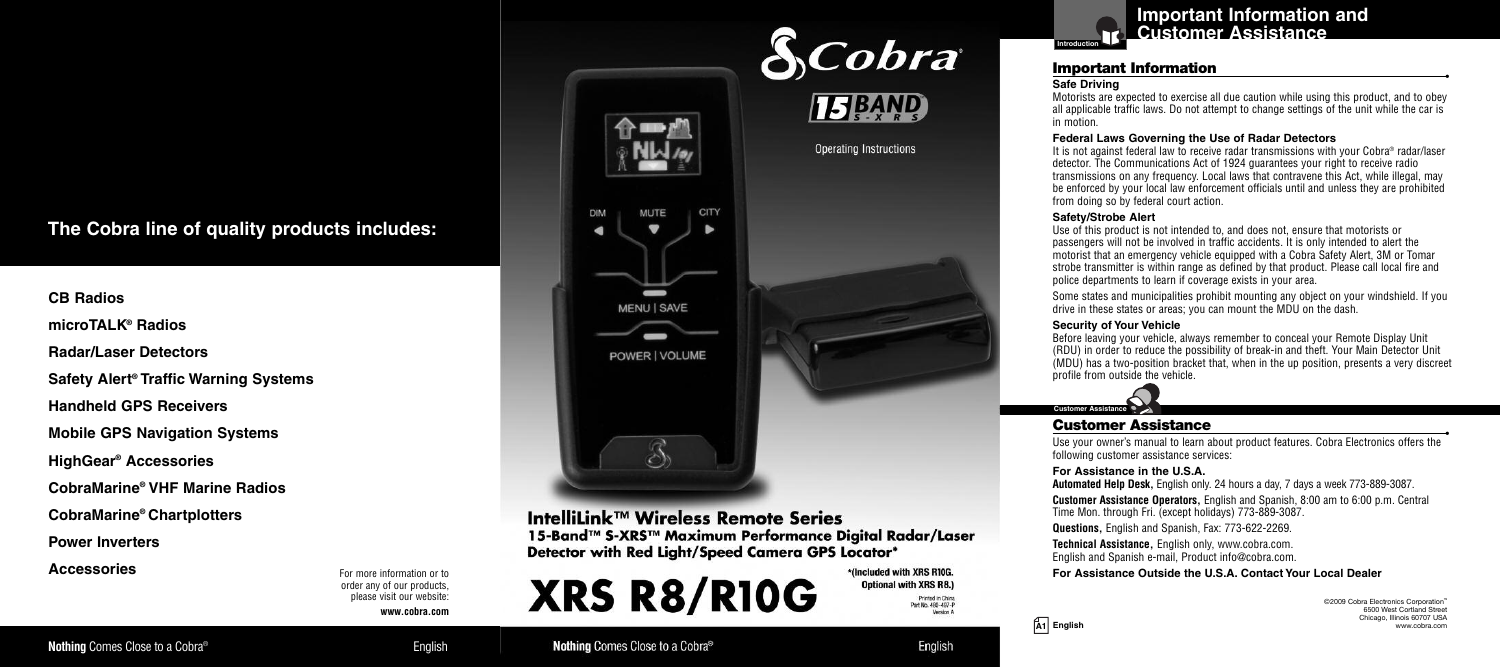## The Cobra line of quality products includes:

**CB** Radios

**microTALK<sup>®</sup> Radios** 

**Radar/Laser Detectors** 

Safety Alert® Traffic Warning Systems

**Handheld GPS Receivers** 

**Mobile GPS Navigation Systems** 

**HighGear<sup>®</sup> Accessories** 

CobraMarine® VHF Marine Radios

**CobraMarine® Chartplotters** 

**Power Inverters** 

**Accessories** 

For more information or to order any of our products. please visit our website:

**w w w . c o b r a . c o m**



IntelliLink™ Wireless Remote Series 15-Band™ S-XRS™ Maximum Performance Digital Radar/Laser Detector with Red Light/Speed Camera GPS Locator\*

> \*(Included with XRS R10G. **Optional with XRS R8.)** Printed in China Part No. 480-497-P Version A

> > English



## Important Information

#### **Safe Driving**

**I n t r o**

Motorists are expected to exercise all due caution while using this product, and to obey all applicable traffic laws. Do not attempt to change settings of the unit while the car is in motion.

#### **Federal Laws Governing the Use of Radar Detectors**

It is not against federal law to receive radar transmissions with your Cobra® radar/laser detector. The Communications Act of 1924 quarantees your right to receive radio transmissions on any frequency. Local laws that contravene this Act. while illegal. may be enforced by your local law enforcement officials until and unless they are prohibited from doing so by federal court action.

#### **Safety/Strobe Alert**

Use of this product is not intended to, and does not, ensure that motorists or passengers will not be involved in traffic accidents. It is only intended to alert the motorist that an emergency vehicle equipped with a Cobra Safety Alert. 3M or Tomar strobe transmitter is within range as defined by that product. Please call local fire and police departments to learn if coverage exists in your area.

Some states and municipalities prohibit mounting any object on your windshield. If you drive in these states or areas: you can mount the MDU on the dash.

#### **Security of Your Vehicle**

Before leaving vour vehicle, alwavs remember to conceal vour Remote Display Unit (RDU) in order to reduce the possibility of break-in and theft. Your Main Detector Unit  $\hat{I}$ MDU) has a two-position bracket that, when in the up position, presents a very discreet profile from outside the vehicle.



## **Customer Assistance**

**•** Use your owner's manual to learn about product features. Cobra Electronics offers the following customer assistance services:

For Assistance in the U.S.A.

Automated Help Desk. English only. 24 hours a day. 7 days a week 773-889-3087.

**Customer Assistance Operators.** English and Spanish, 8:00 am to 6:00 p.m. Central Time Mon. through Fri. (except holidavs) 773-889-3087.

**Questions.** English and Spanish. Fax: 773-622-2269.

Technical Assistance. English only, www.cobra.com. English and Spanish e-mail. Product info@cobra.com.

For Assistance Outside the U.S.A. Contact Your Local Dealer

©2009 Cobra Electronics Corporation™ 6500 West Cortland Street Chicago, Illinois 60707 USA www.cobra.com

**•**

**A 1 E n g l i s h**

**English** 

Nothing Comes Close to a Cobra<sup>®</sup>

**XRS R8/R10G**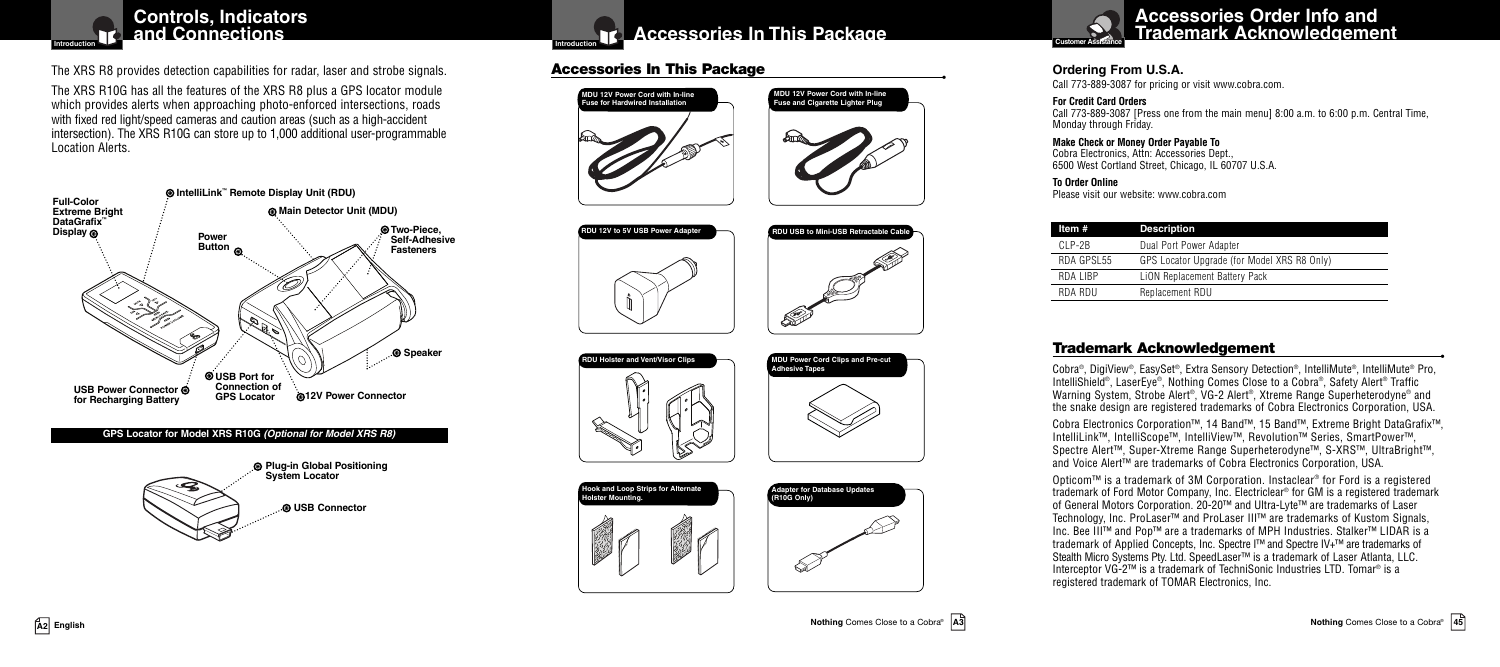

The XRS R8 provides detection capabilities for radar, laser and strobe signals.

The XRS R10G has all the features of the XRS R8 plus a GPS locator module which provides alerts when approaching photo-enforced intersections, roads with fixed red light/speed cameras and caution areas (such as a high-accident intersection). The XRS R10G can store up to 1,000 additional user-programmable Location Alerts.



#### **GPS Locator for Model XRS R10G** *(Optional for Model XRS R8)*





## **Accessories In This Package**

#### **Accessories In This Package •**



**RDU 12V to 5V USB Power Adapter**















#### **Ordering From U.S.A.**

Call 773-889-3087 for pricing or visit www.cobra.com.

#### **For Credit Card Orders**

Call 773-889-3087 [Press one from the main menu] 8:00 a.m. to 6:00 p.m. Central Time, Monday through Friday.

#### **Make Check or Money Order Payable To** Cobra Electronics, Attn: Accessories Dept.,

6500 West Cortland Street, Chicago, IL 60707 U.S.A.

#### **To Order Online**

Please visit our website: www.cobra.com

| Item #     | <b>Description</b>                          |
|------------|---------------------------------------------|
| CI P-2B    | Dual Port Power Adapter                     |
| RDA GPSL55 | GPS Locator Upgrade (for Model XRS R8 Only) |
| RDA LIBP   | LION Replacement Battery Pack               |
| RDA RDU    | Replacement RDU                             |

#### **Trademark Acknowledgement •**

Cobra®, DigiView®, EasySet®, Extra Sensory Detection®, IntelliMute®, IntelliMute® Pro, IntelliShield®, LaserEye®, Nothing Comes Close to a Cobra®, Safety Alert ® Traffic Warning System, Strobe Alert®, VG-2 Alert®, Xtreme Range Superheterodyne® and the snake design are registered trademarks of Cobra Electronics Corporation, USA.

Cobra Electronics Corporation™, 14 Band™, 15 Band™, Extreme Bright DataGrafix™, IntelliLink™, IntelliScope™, IntelliView™, Revolution™ Series, SmartPower™, Spectre Alert™, Super-Xtreme Range Superheterodyne™, S-XRS™, UltraBright™, and Voice Alert™ are trademarks of Cobra Electronics Corporation, USA.

Opticom™ is a trademark of 3M Corporation. Instaclear ® for Ford is a registered trademark of Ford Motor Company, Inc. Electriclear ® for GM is a registered trademark of General Motors Corporation. 20-20™ and Ultra-Lyte™ are trademarks of Laser Technology, Inc. ProLaser™ and ProLaser III™ are trademarks of Kustom Signals, Inc. Bee III™ and Pop™ are a trademarks of MPH Industries. Stalker™ LIDAR is a trademark of Applied Concepts, Inc. Spectre I™ and Spectre IV+™ are trademarks of Stealth Micro Systems Pty. Ltd. SpeedLaser™ is a trademark of Laser Atlanta, LLC. Interceptor VG-2™ is a trademark of TechniSonic Industries LTD. Tomar ® is a registered trademark of TOMAR Electronics, Inc.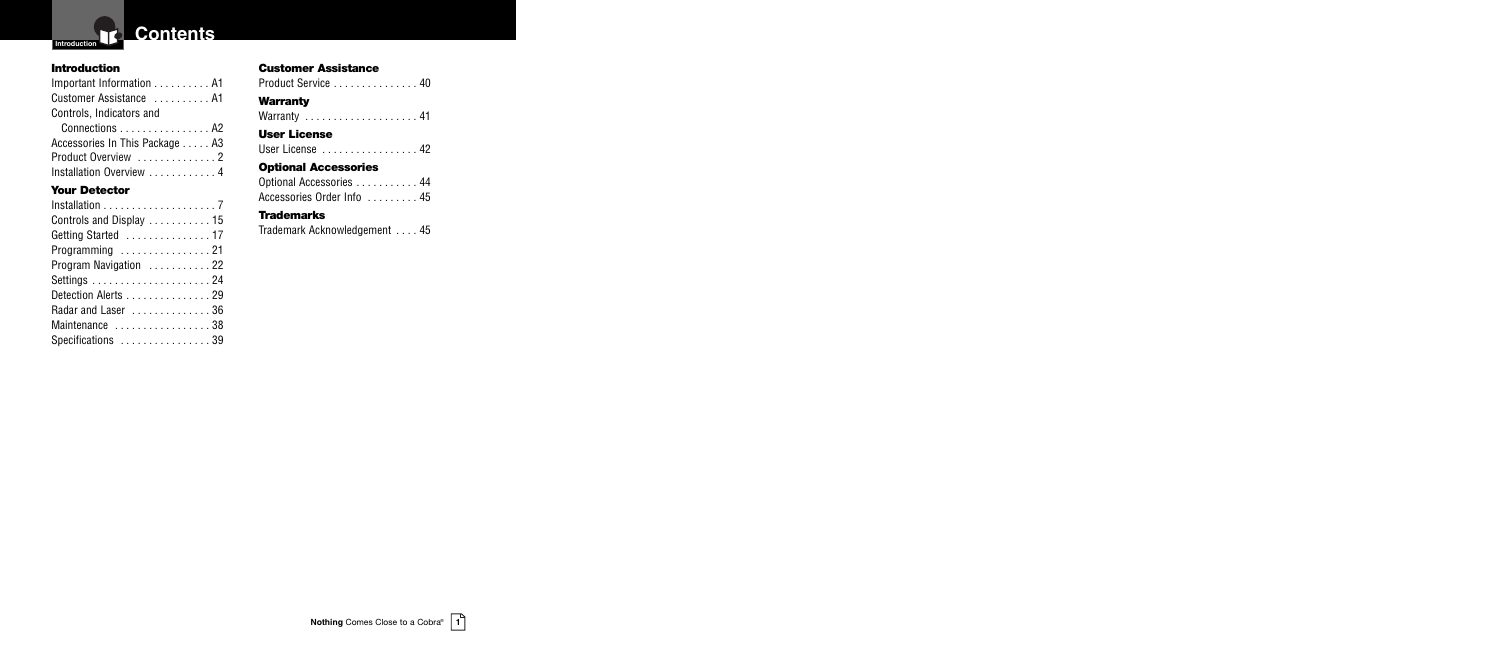

#### **Introduction**

Important Information . . . . . . . . . . A1 Customer Assistance . . . . . . . . . . A1 Controls, Indicators and Connections . . . . . . . . . . . . . . . . A2 Accessories In This Package . . . . . A3 Product Overview ...............2 Installation Overview . . . . . . . . . . . 4 **Your Detector**

#### **Customer Assistance**

Product Service . . . . . . . . . . . . . . 40

#### **Warranty**

Warranty . . . . . . . . . . . . . . . . . . . . 41

#### **User License**

User License . . . . . . . . . . . . . . . . . 42

#### **Optional Accessories**

Optional Accessories . . . . . . . . . . 44 Accessories Order Info . . . . . . . . 45

#### **Trademarks**

Trademark Acknowledgement . . . . 45

#### Installation . . . . . . . . . . . . . . . . . . . . 7 Controls and Display . . . . . . . . . . . 15 Getting Started . . . . . . . . . . . . . . . 17 Programming . . . . . . . . . . . . . . . . 21 Program Navigation . . . . . . . . . . 22 Settings . . . . . . . . . . . . . . . . . . . . . 24 Detection Alerts . . . . . . . . . . . . . . 29 Radar and Laser . . . . . . . . . . . . . . 36 Maintenance . . . . . . . . . . . . . . . . . 38 Specifications . . . . . . . . . . . . . . . 39

**Nothing** Comes Close to a Cobra® **1**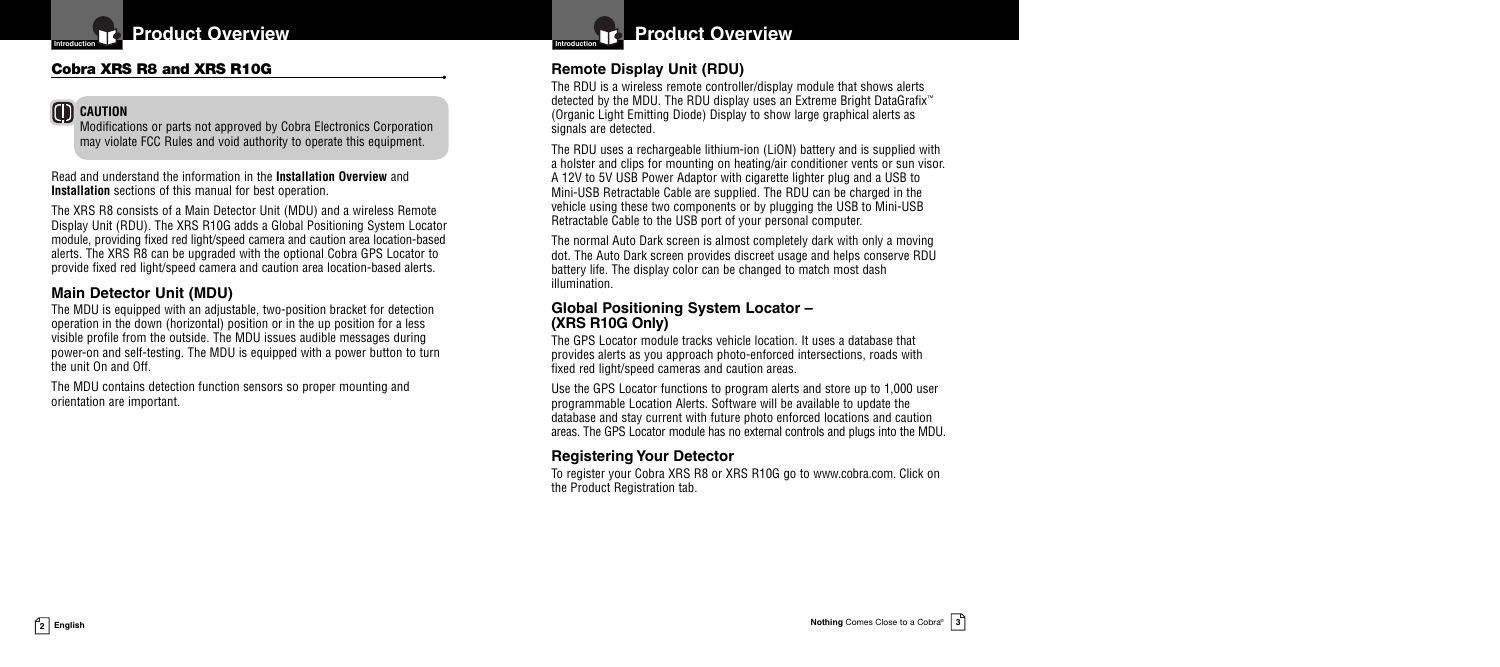

## **Cobra XRS R8 and XRS R10G •**

## **CAUTION**

Modifications or parts not approved by Cobra Electronics Corporation may violate FCC Rules and void authority to operate this equipment.

Read and understand the information in the **Installation Overview** and **Installation** sections of this manual for best operation.

The XRS R8 consists of a Main Detector Unit (MDU) and a wireless Remote Display Unit (RDU). The XRS R10G adds a Global Positioning System Locator module, providing fixed red light/speed camera and caution area location-based alerts. The XRS R8 can be upgraded with the optional Cobra GPS Locator to provide fixed red light/speed camera and caution area location-based alerts.

## **Main Detector Unit (MDU)**

The MDU is equipped with an adjustable, two-position bracket for detection operation in the down (horizontal) position or in the up position for a less visible profile from the outside. The MDU issues audible messages during power-on and self-testing. The MDU is equipped with a power button to turn the unit On and Off.

The MDU contains detection function sensors so proper mounting and orientation are important.

**Product Overview** 

## **Remote Display Unit (RDU)**

The RDU is a wireless remote controller/display module that shows alerts detected by the MDU. The RDU display uses an Extreme Bright DataGrafix™ (Organic Light Emitting Diode) Display to show large graphical alerts as signals are detected.

The RDU uses a rechargeable lithium-ion (LiON) battery and is supplied with a holster and clips for mounting on heating/air conditioner vents or sun visor. A 12V to 5V USB Power Adaptor with cigarette lighter plug and a USB to Mini-USB Retractable Cable are supplied. The RDU can be charged in the vehicle using these two components or by plugging the USB to Mini-USB Retractable Cable to the USB port of your personal computer.

The normal Auto Dark screen is almost completely dark with only a moving dot. The Auto Dark screen provides discreet usage and helps conserve RDU battery life. The display color can be changed to match most dash illumination.

#### **Global Positioning System Locator – (XRS R10G Only)**

The GPS Locator module tracks vehicle location. It uses a database that provides alerts as you approach photo-enforced intersections, roads with fixed red light/speed cameras and caution areas.

Use the GPS Locator functions to program alerts and store up to 1,000 user programmable Location Alerts. Software will be available to update the database and stay current with future photo enforced locations and caution areas. The GPS Locator module has no external controls and plugs into the MDU.

## **Registering Your Detector**

To register your Cobra XRS R8 or XRS R10G go to www.cobra.com. Click on the Product Registration tab.

**2 English**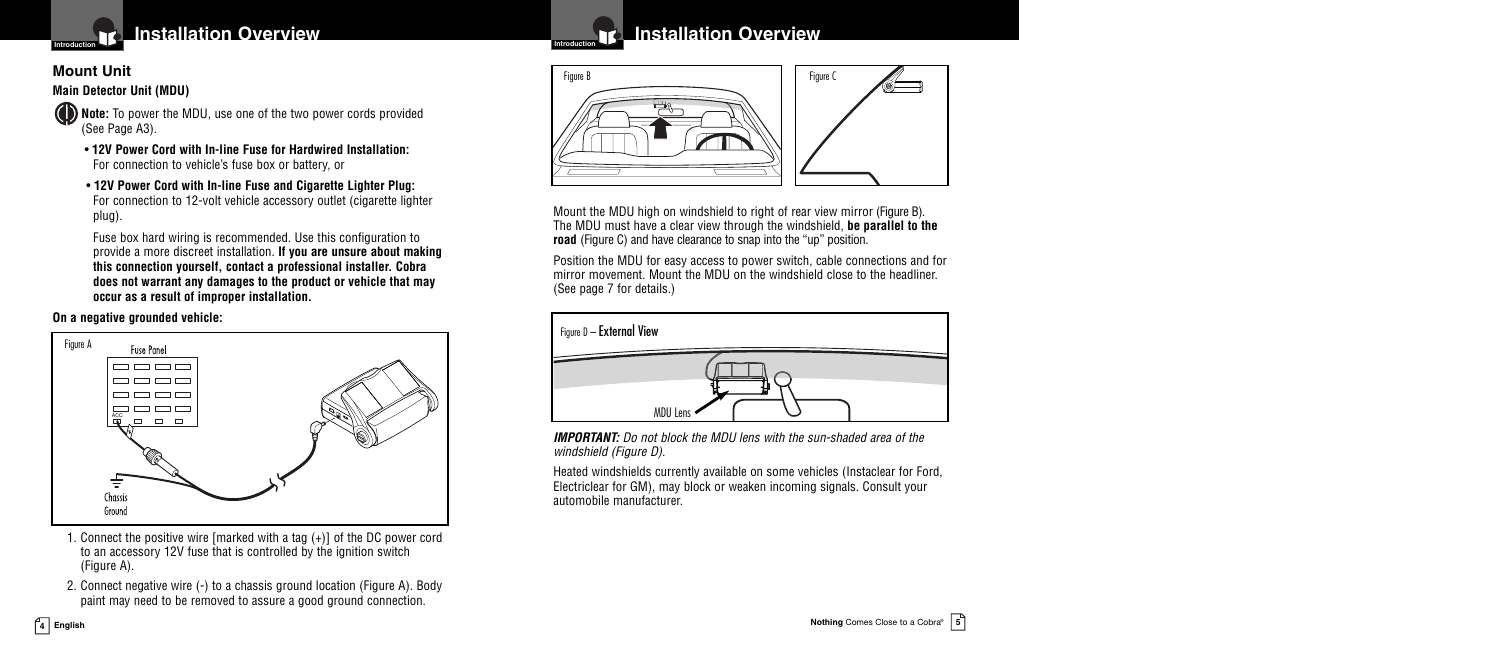

**Installation Overview**

## **Mount Unit**

## **Main Detector Unit (MDU)**

- **Note:** To power the MDU, use one of the two power cords provided (See Page A3).
	- **12V Power Cord with In-line Fuse for Hardwired Installation:** For connection to vehicle's fuse box or battery, or
	- **12V Power Cord with In-line Fuse and Cigarette Lighter Plug:** For connection to 12-volt vehicle accessory outlet (cigarette lighter plug).

Fuse box hard wiring is recommended. Use this configuration to provide a more discreet installation. **If you are unsure about making this connection yourself, contact a professional installer. Cobra does not warrant any damages to the product or vehicle that may occur as a result of improper installation.**

#### **On a negative grounded vehicle:**



- 1. Connect the positive wire [marked with a tag (+)] of the DC power cord to an accessory 12V fuse that is controlled by the ignition switch (Figure A).
- 2. Connect negative wire (-) to a chassis ground location (Figure A). Body paint may need to be removed to assure a good ground connection.

#### **Installation Overview** ro



Mount the MDU high on windshield to right of rear view mirror (Figure B). The MDU must have a clear view through the windshield, **be parallel to the road** (Figure C) and have clearance to snap into the "up" position.

Position the MDU for easy access to power switch, cable connections and for mirror movement. Mount the MDU on the windshield close to the headliner. (See page 7 for details.)



*IMPORTANT: Do not block the MDU lens with the sun-shaded area of the windshield (Figure D).*

Heated windshields currently available on some vehicles (Instaclear for Ford, Electriclear for GM), may block or weaken incoming signals. Consult your automobile manufacturer.

**4 English**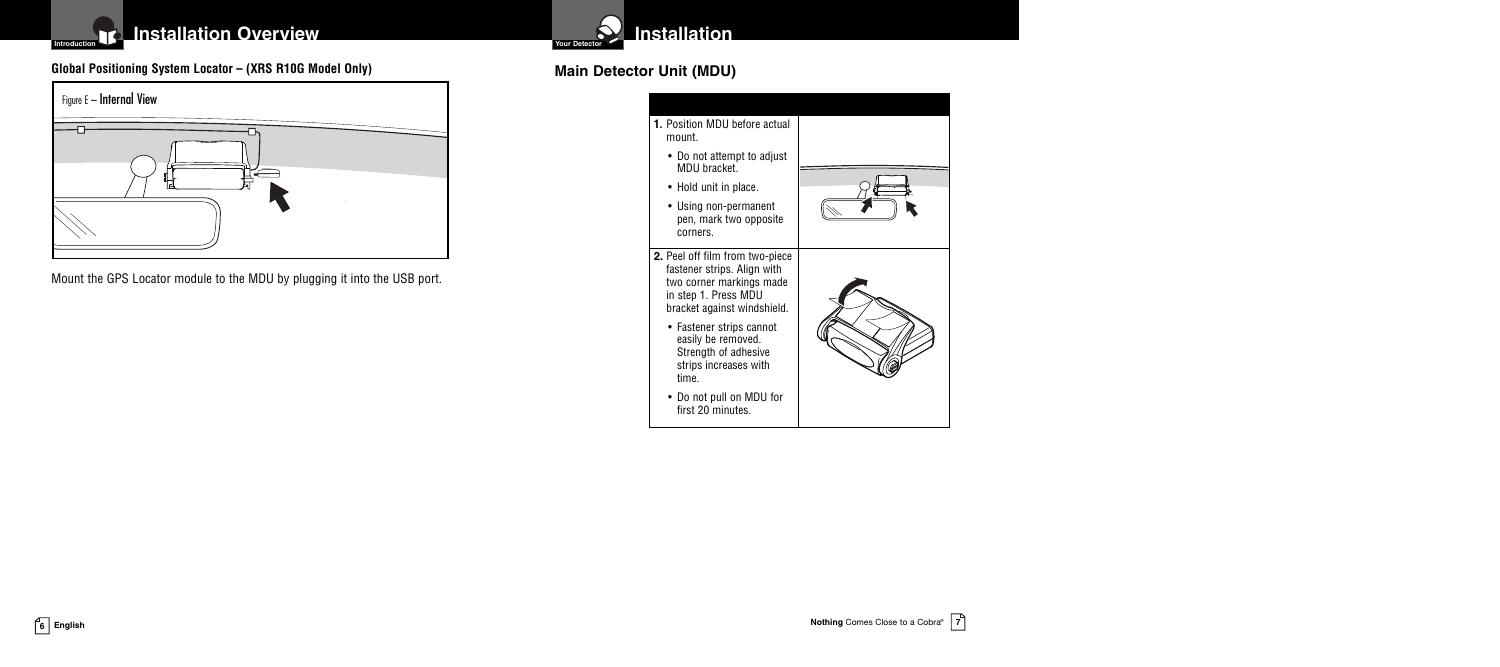## **Installation Overview**

## **Clobal Positioning System Locator** – (XRS R10G Model Only) **and the Convention of Main Detector Unit (MDU)**



Mount the GPS Locator module to the MDU by plugging it into the USB port.

**Installation** 



**Introduction**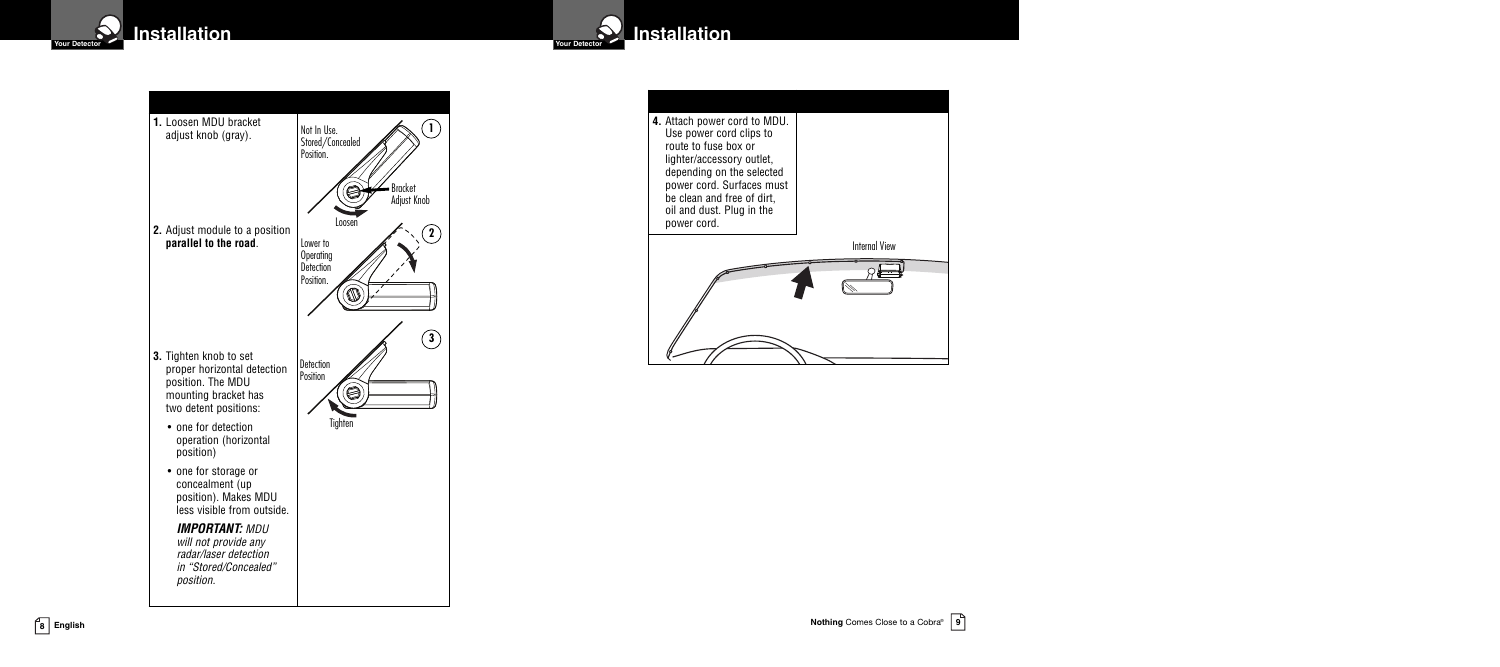





**Installation**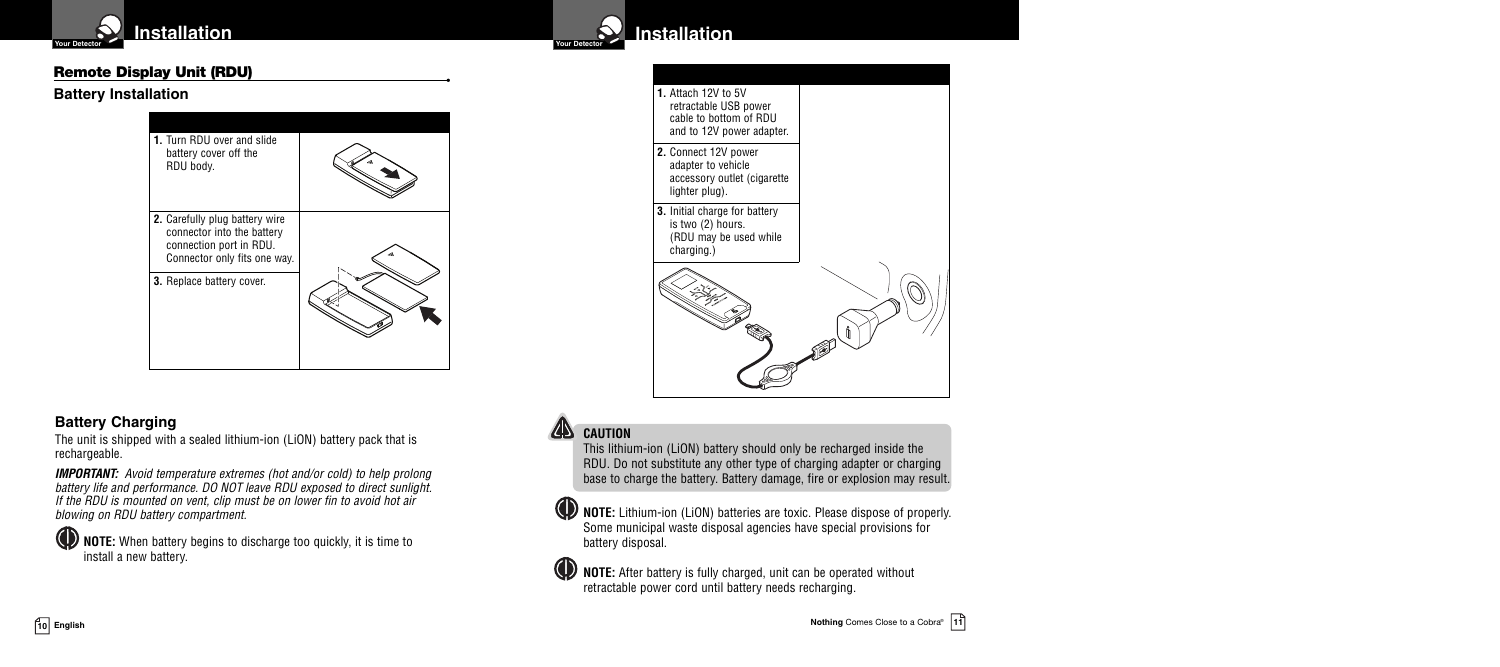

#### **Remote Display Unit (RDU) •**

#### **Battery Installation**





## **Battery Charging**

The unit is shipped with a sealed lithium-ion (LiON) battery pack that is rechargeable.

*IMPORTANT: Avoid temperature extremes (hot and/or cold) to help prolong battery life and performance. DO NOT leave RDU exposed to direct sunlight. If the RDU is mounted on vent, clip must be on lower fin to avoid hot air blowing on RDU battery compartment.*

**NOTE:** When battery begins to discharge too quickly, it is time to install a new battery.

## **CAUTION**

This lithium-ion (LiON) battery should only be recharged inside the RDU. Do not substitute any other type of charging adapter or charging base to charge the battery. Battery damage, fire or explosion may result.

**NOTE:** Lithium-ion (LiON) batteries are toxic. Please dispose of properly. Some municipal waste disposal agencies have special provisions for battery disposal.

**WE NOTE:** After battery is fully charged, unit can be operated without retractable power cord until battery needs recharging.

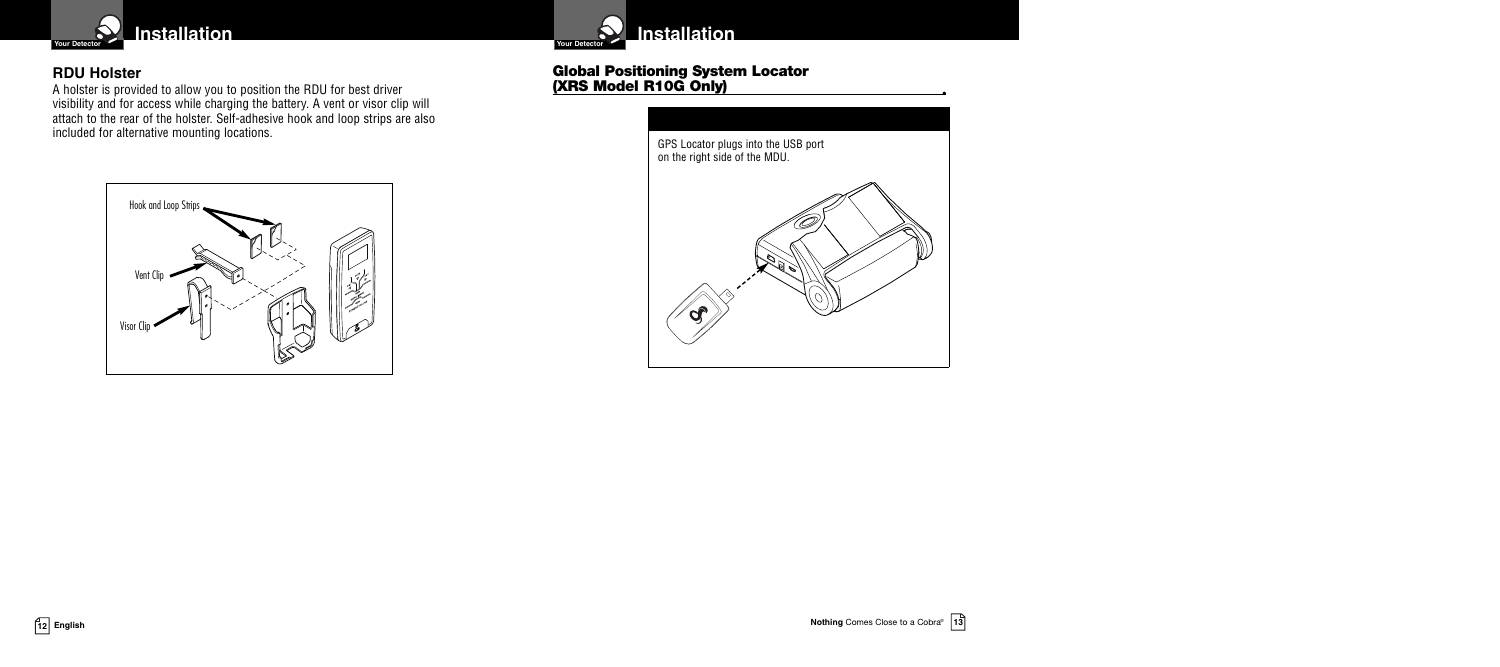

## **RDU Holster**

A holster is provided to allow you to position the RDU for best driver visibility and for access while charging the battery. A vent or visor clip will attach to the rear of the holster. Self-adhesive hook and loop strips are also included for alternative mounting locations.





## **Global Positioning System Locator (XRS Model R10G Only) •**



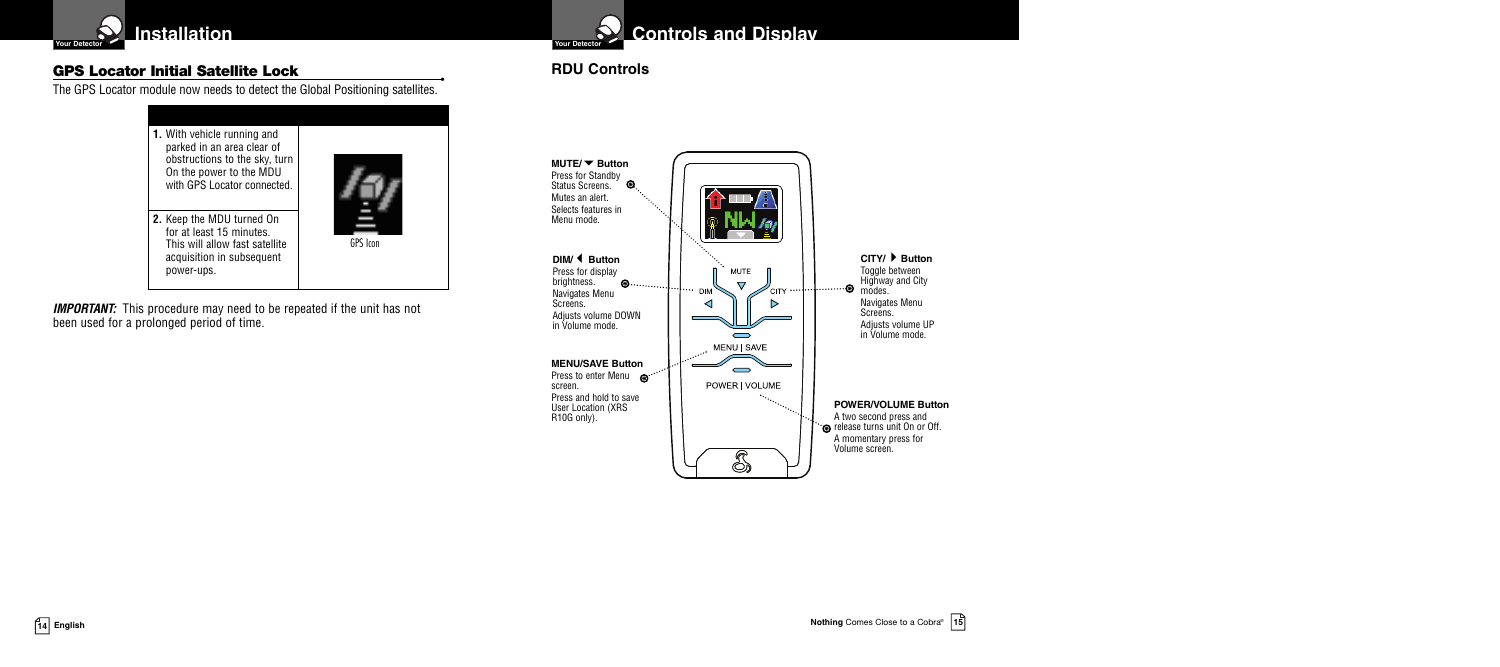

## **GPS Locator Initial Satellite Lock •**

The GPS Locator module now needs to detect the Global Positioning satellites.



**IMPORTANT:** This procedure may need to be repeated if the unit has not been used for a prolonged period of time.



## **Controls and Display**

## **RDU Controls**

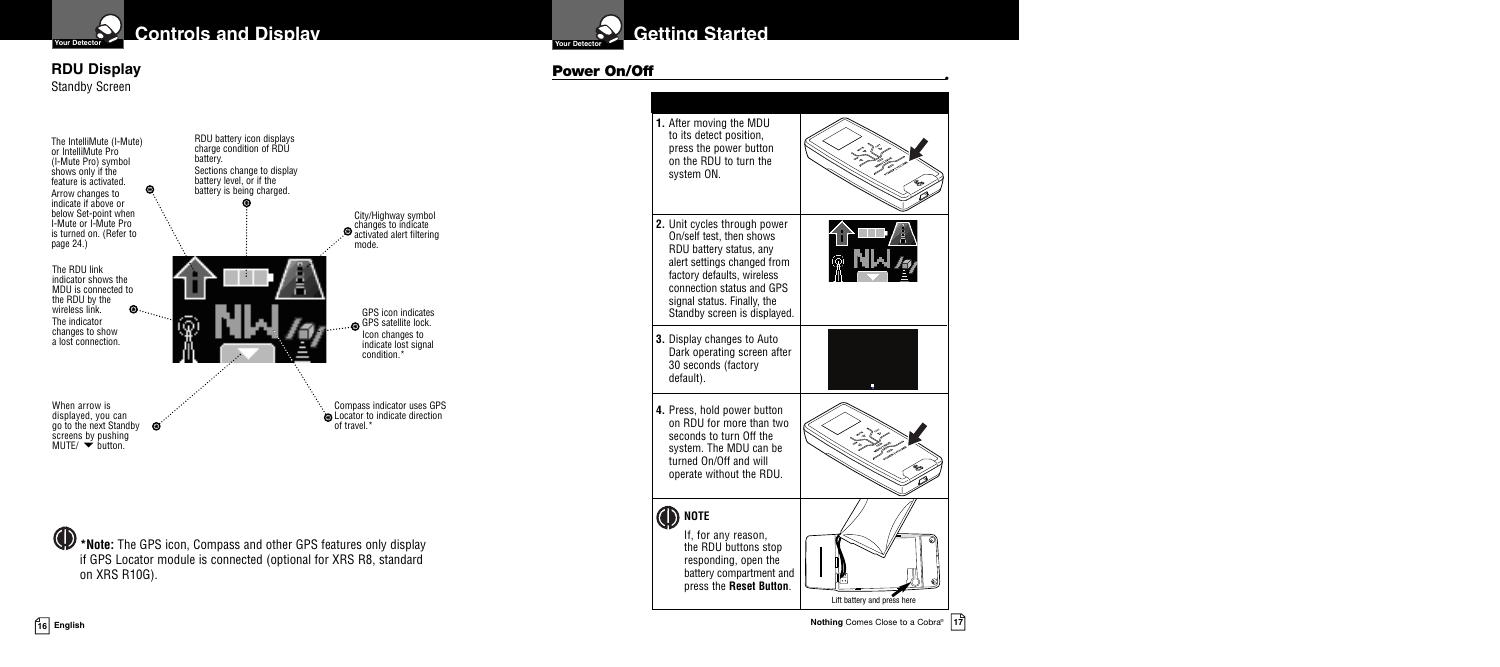

**Prour Detector Controls and Display Controls and Display** 

#### **RDU Display** Standby Screen



**\*Note:** The GPS icon, Compass and other GPS features only display if GPS Locator module is connected (optional for XRS R8, standard on XRS R10G).

# **Your Detector**

#### **Power On/Off •**

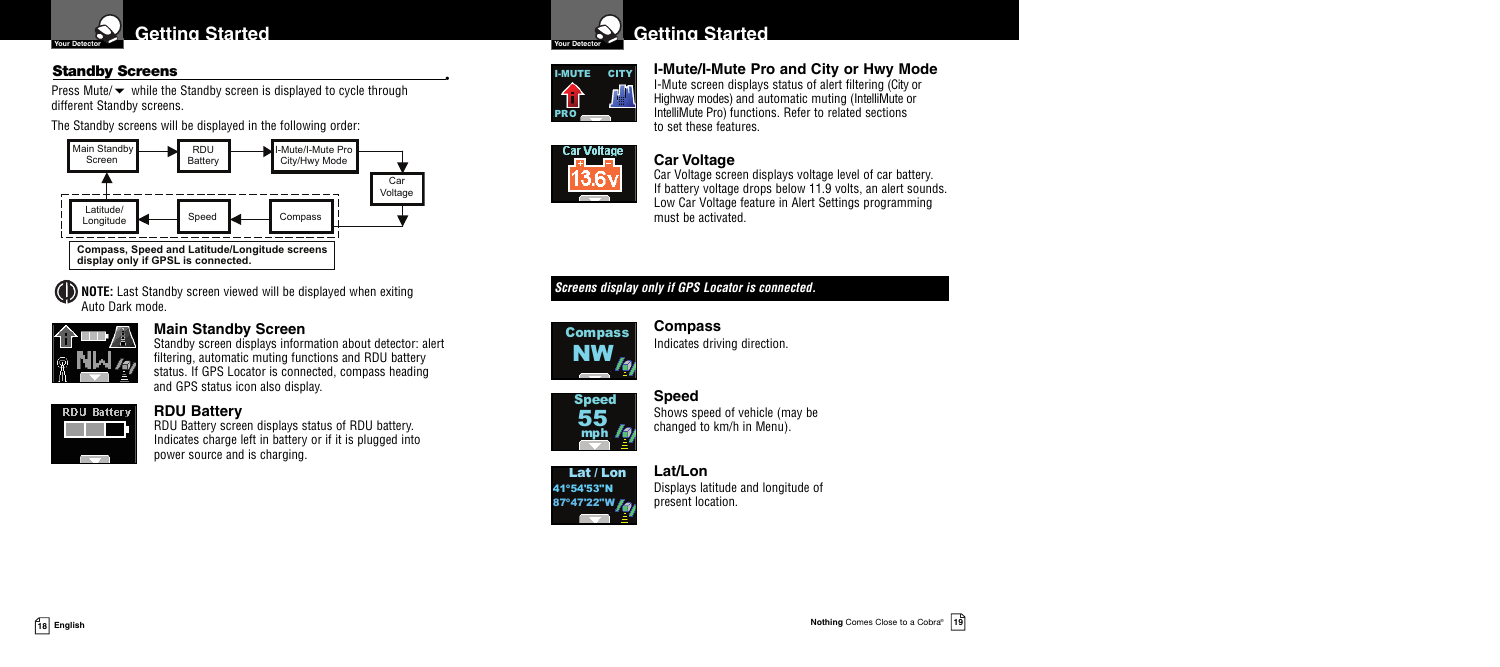

## **Standby Screens •**

Press Mute/ $\blacktriangleright$  while the Standby screen is displayed to cycle through different Standby screens.

The Standby screens will be displayed in the following order:



**NOTE:** Last Standby screen viewed will be displayed when exiting Auto Dark mode.



## **Main Standby Screen**

Standby screen displays information about detector: alert filtering, automatic muting functions and RDU battery status. If GPS Locator is connected, compass heading and GPS status icon also display.



#### **RDU Battery**

RDU Battery screen displays status of RDU battery. Indicates charge left in battery or if it is plugged into power source and is charging.



# I-MUTE CITY PRO

**I-Mute/I-Mute Pro and City or Hwy Mode** I-Mute screen displays status of alert filtering (City or Highway modes) and automatic muting (IntelliMute or IntelliMute Pro) functions. Refer to related sections to set these features.

## **Car Voltage**



**Car Voltage** 

Car Voltage screen displays voltage level of car battery. If battery voltage drops below 11.9 volts, an alert sounds. Low Car Voltage feature in Alert Settings programming must be activated.

## *Screens display only if GPS Locator is connected.*



#### **Compass** Indicates driving direction.



**Speed** Shows speed of vehicle (may be changed to km/h in Menu).

#### Lat / Lon



**Lat/Lon** Displays latitude and longitude of present location.



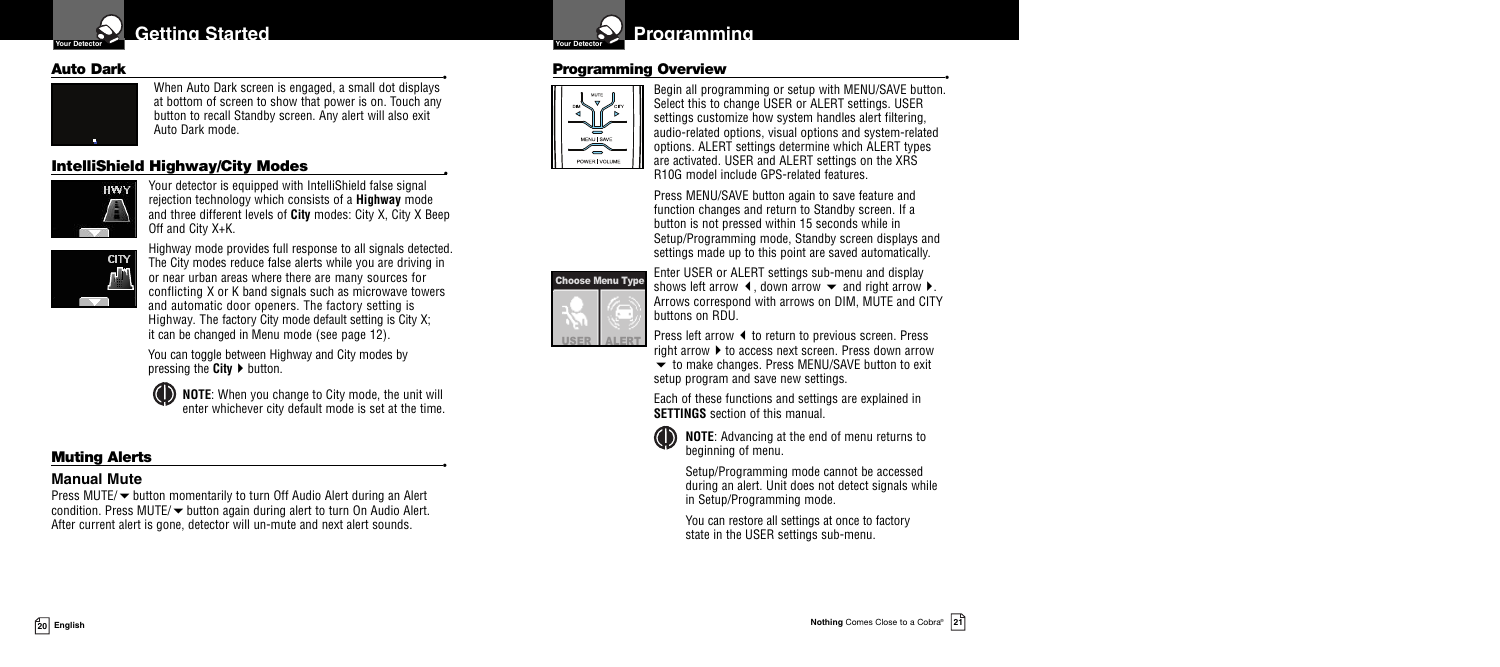



**Auto Dark •** When Auto Dark screen is engaged, a small dot displays at bottom of screen to show that power is on. Touch any button to recall Standby screen. Any alert will also exit Auto Dark mode.

## **IntelliShield Highway/City Modes •**



Your detector is equipped with IntelliShield false signal rejection technology which consists of a **Highway** mode and three different levels of **City** modes: City X, City X Beep Off and City X+K.



Highway mode provides full response to all signals detected. The City modes reduce false alerts while you are driving in or near urban areas where there are many sources for conflicting X or K band signals such as microwave towers and automatic door openers. The factory setting is Highway. The factory City mode default setting is City X; it can be changed in Menu mode (see page 12).

You can toggle between Highway and City modes by pressing the **City**  $\triangleright$  button.

**NOTE**: When you change to City mode, the unit will enter whichever city default mode is set at the time.

## **Muting Alerts •**

## **Manual Mute**

Press MUTE/ $\blacktriangledown$  button momentarily to turn Off Audio Alert during an Alert condition. Press MUTE/ $\blacktriangledown$  button again during alert to turn On Audio Alert. After current alert is gone, detector will un-mute and next alert sounds.



#### **Programming Overview •**



Begin all programming or setup with MENU/SAVE button. Select this to change USER or ALERT settings. USER settings customize how system handles alert filtering, audio-related options, visual options and system-related options. ALERT settings determine which ALERT types are activated. USER and ALERT settings on the XRS R10G model include GPS-related features.

Press MENU/SAVE button again to save feature and function changes and return to Standby screen. If a button is not pressed within 15 seconds while in Setup/Programming mode, Standby screen displays and settings made up to this point are saved automatically.



Enter USER or ALERT settings sub-menu and display shows left arrow  $\blacktriangleleft$ , down arrow  $\blacktriangleright$  and right arrow  $\blacktriangleright$ . Arrows correspond with arrows on DIM, MUTE and CITY buttons on RDU.

Press left arrow  $\blacktriangleleft$  to return to previous screen. Press right arrow  $\blacktriangleright$  to access next screen. Press down arrow

 $\bullet$  to make changes. Press MENU/SAVE button to exit setup program and save new settings.

Each of these functions and settings are explained in **SETTINGS** section of this manual



**NOTE**: Advancing at the end of menu returns to beginning of menu.

Setup/Programming mode cannot be accessed during an alert. Unit does not detect signals while in Setup/Programming mode.

You can restore all settings at once to factory state in the USER settings sub-menu.



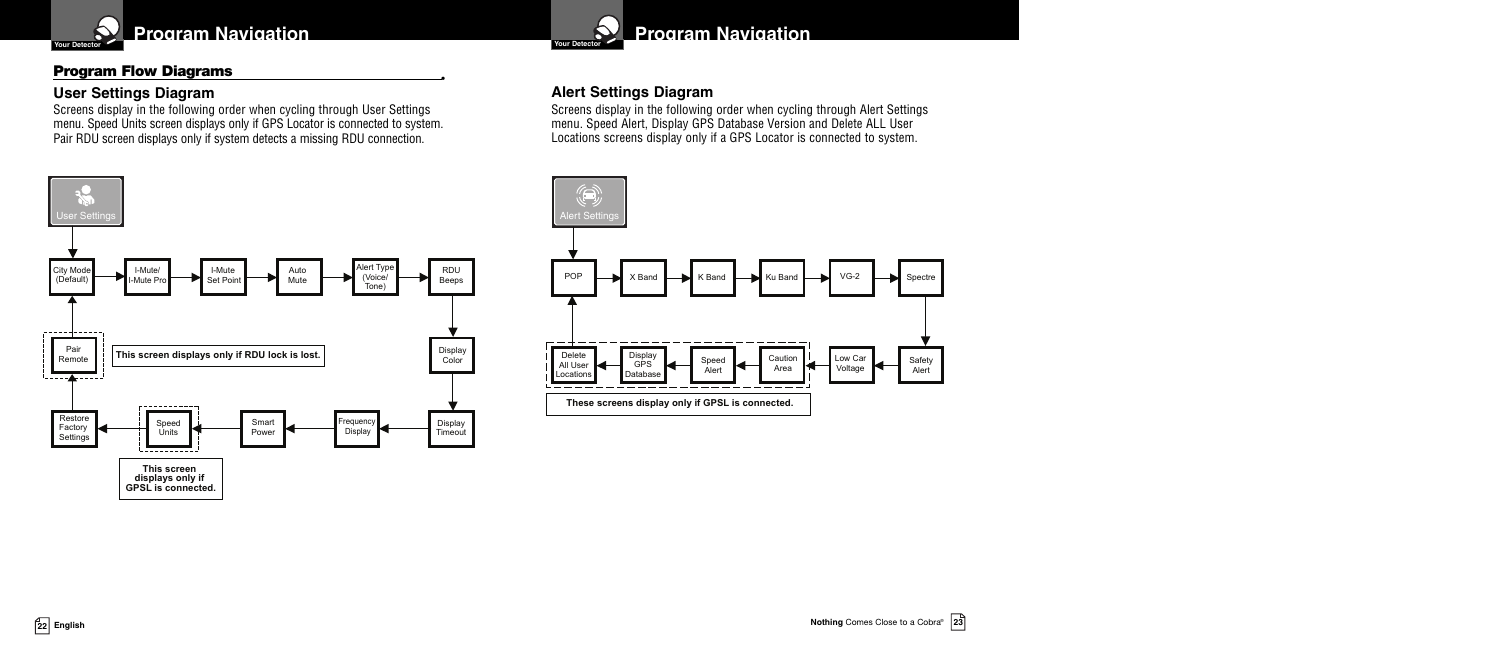

## **Program Flow Diagrams •**

I-Mute/ I-Mute Pr

> Speed Units

-----------

**This screen displays only if GPSL is connected.**

-<del>----------</del>-

## **User Settings Diagram**

Screens display in the following order when cycling through User Settings menu. Speed Units screen displays only if GPS Locator is connected to system. Pair RDU screen displays only if system detects a missing RDU connection.

Auto Mute

Smart Power Alert Type (Voice/ Tone)

Frequenc<br>Display

I-Mute Set Point

**This screen displays only if RDU lock is lost.**



## **Alert Settings Diagram**

Screens display in the following order when cycling through Alert Settings menu. Speed Alert, Display GPS Database Version and Delete ALL User Locations screens display only if a GPS Locator is connected to system.





City Mode (Default)

**Iser Setting** 

Restore **Factory** Settings

Pair Remote

<u> Lingual</u>

------------

**Nothing** Comes Close to <sup>a</sup> Cobra® **<sup>23</sup> <sup>22</sup> English**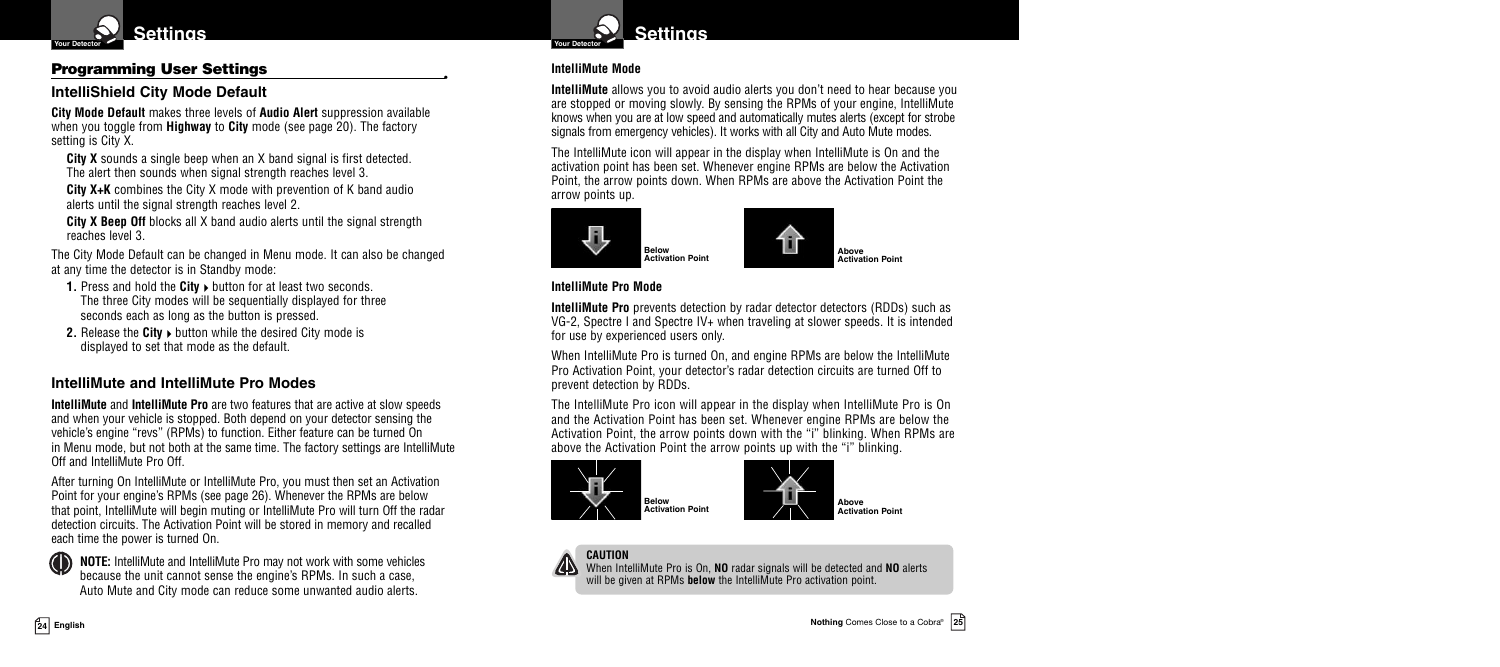

## **Programming User Settings •**

## **IntelliShield City Mode Default**

**City Mode Default** makes three levels of **Audio Alert** suppression available when you toggle from **Highway** to **City** mode (see page 20). The factory setting is City X.

**City X** sounds a single beep when an X band signal is first detected. The alert then sounds when signal strength reaches level 3.

**City X+K** combines the City X mode with prevention of K band audio alerts until the signal strength reaches level 2.

**City X Beep Off** blocks all X band audio alerts until the signal strength reaches level 3.

The City Mode Default can be changed in Menu mode. It can also be changed at any time the detector is in Standby mode:

- **1.** Press and hold the **City button for at least two seconds.** The three City modes will be sequentially displayed for three seconds each as long as the button is pressed.
- **2.** Release the City ► button while the desired City mode is displayed to set that mode as the default.

#### **IntelliMute and IntelliMute Pro Modes**

**IntelliMute** and **IntelliMute Pro** are two features that are active at slow speeds and when your vehicle is stopped. Both depend on your detector sensing the vehicle's engine "revs" (RPMs) to function. Either feature can be turned On in Menu mode, but not both at the same time. The factory settings are IntelliMute Off and IntelliMute Pro Off.

After turning On IntelliMute or IntelliMute Pro, you must then set an Activation Point for your engine's RPMs (see page 26). Whenever the RPMs are below that point, IntelliMute will begin muting or IntelliMute Pro will turn Off the radar detection circuits. The Activation Point will be stored in memory and recalled each time the power is turned On.

**NOTE:** IntelliMute and IntelliMute Pro may not work with some vehicles because the unit cannot sense the engine's RPMs. In such a case, Auto Mute and City mode can reduce some unwanted audio alerts.



#### **IntelliMute Mode**

**IntelliMute** allows you to avoid audio alerts you don't need to hear because you are stopped or moving slowly. By sensing the RPMs of your engine, IntelliMute knows when you are at low speed and automatically mutes alerts (except for strobe signals from emergency vehicles). It works with all City and Auto Mute modes.

The IntelliMute icon will appear in the display when IntelliMute is On and the activation point has been set. Whenever engine RPMs are below the Activation Point, the arrow points down. When RPMs are above the Activation Point the arrow points up.



#### **IntelliMute Pro Mode**

**IntelliMute Pro** prevents detection by radar detector detectors (RDDs) such as VG-2, Spectre I and Spectre IV+ when traveling at slower speeds. It is intended for use by experienced users only.

When IntelliMute Pro is turned On, and engine RPMs are below the IntelliMute Pro Activation Point, your detector's radar detection circuits are turned Off to prevent detection by RDDs.

The IntelliMute Pro icon will appear in the display when IntelliMute Pro is On and the Activation Point has been set. Whenever engine RPMs are below the Activation Point, the arrow points down with the "i" blinking. When RPMs are above the Activation Point the arrow points up with the "i" blinking.





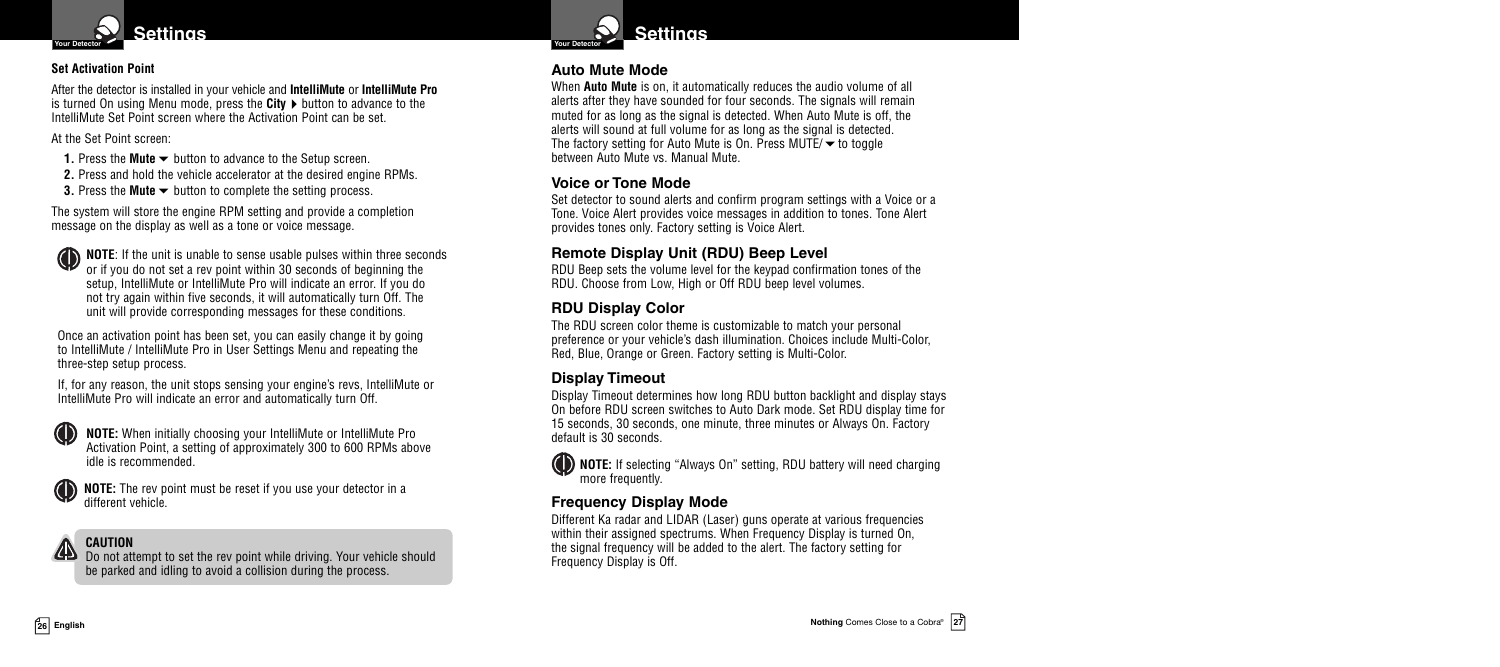

#### **Set Activation Point**

After the detector is installed in your vehicle and **IntelliMute** or **IntelliMute Pro** is turned On using Menu mode, press the **City**  $\triangleright$  button to advance to the IntelliMute Set Point screen where the Activation Point can be set.

At the Set Point screen:

**1.** Press the **Mute**  $\blacktriangleright$  button to advance to the Setup screen.

**2.** Press and hold the vehicle accelerator at the desired engine RPMs.

**3.** Press the **Mute** <del>▼</del> button to complete the setting process.

The system will store the engine RPM setting and provide a completion message on the display as well as a tone or voice message.

**NOTE:** If the unit is unable to sense usable pulses within three seconds or if you do not set a rev point within 30 seconds of beginning the setup, IntelliMute or IntelliMute Pro will indicate an error. If you do not try again within five seconds, it will automatically turn Off. The unit will provide corresponding messages for these conditions.

Once an activation point has been set, you can easily change it by going to IntelliMute / IntelliMute Pro in User Settings Menu and repeating the three-step setup process.

If, for any reason, the unit stops sensing your engine's revs, IntelliMute or IntelliMute Pro will indicate an error and automatically turn Off.



**NOTE:** The rev point must be reset if you use your detector in a different vehicle.

**CAUTION**

Do not attempt to set the rev point while driving. Your vehicle should be parked and idling to avoid a collision during the process.



#### **Auto Mute Mode**

When **Auto Mute** is on, it automatically reduces the audio volume of all alerts after they have sounded for four seconds. The signals will remain muted for as long as the signal is detected. When Auto Mute is off, the alerts will sound at full volume for as long as the signal is detected. The factory setting for Auto Mute is On. Press MUTE/ $\blacktriangledown$  to toggle between Auto Mute vs. Manual Mute.

## **Voice or Tone Mode**

Set detector to sound alerts and confirm program settings with a Voice or a Tone. Voice Alert provides voice messages in addition to tones. Tone Alert provides tones only. Factory setting is Voice Alert.

## **Remote Display Unit (RDU) Beep Level**

RDU Beep sets the volume level for the keypad confirmation tones of the RDU. Choose from Low, High or Off RDU beep level volumes.

## **RDU Display Color**

The RDU screen color theme is customizable to match your personal preference or your vehicle's dash illumination. Choices include Multi-Color, Red, Blue, Orange or Green. Factory setting is Multi-Color.

## **Display Timeout**

Display Timeout determines how long RDU button backlight and display stays On before RDU screen switches to Auto Dark mode. Set RDU display time for 15 seconds, 30 seconds, one minute, three minutes or Always On. Factory default is 30 seconds.

**NOTE:** If selecting "Always On" setting, RDU battery will need charging more frequently.

## **Frequency Display Mode**

Different Ka radar and LIDAR (Laser) guns operate at various frequencies within their assigned spectrums. When Frequency Display is turned On, the signal frequency will be added to the alert. The factory setting for Frequency Display is Off.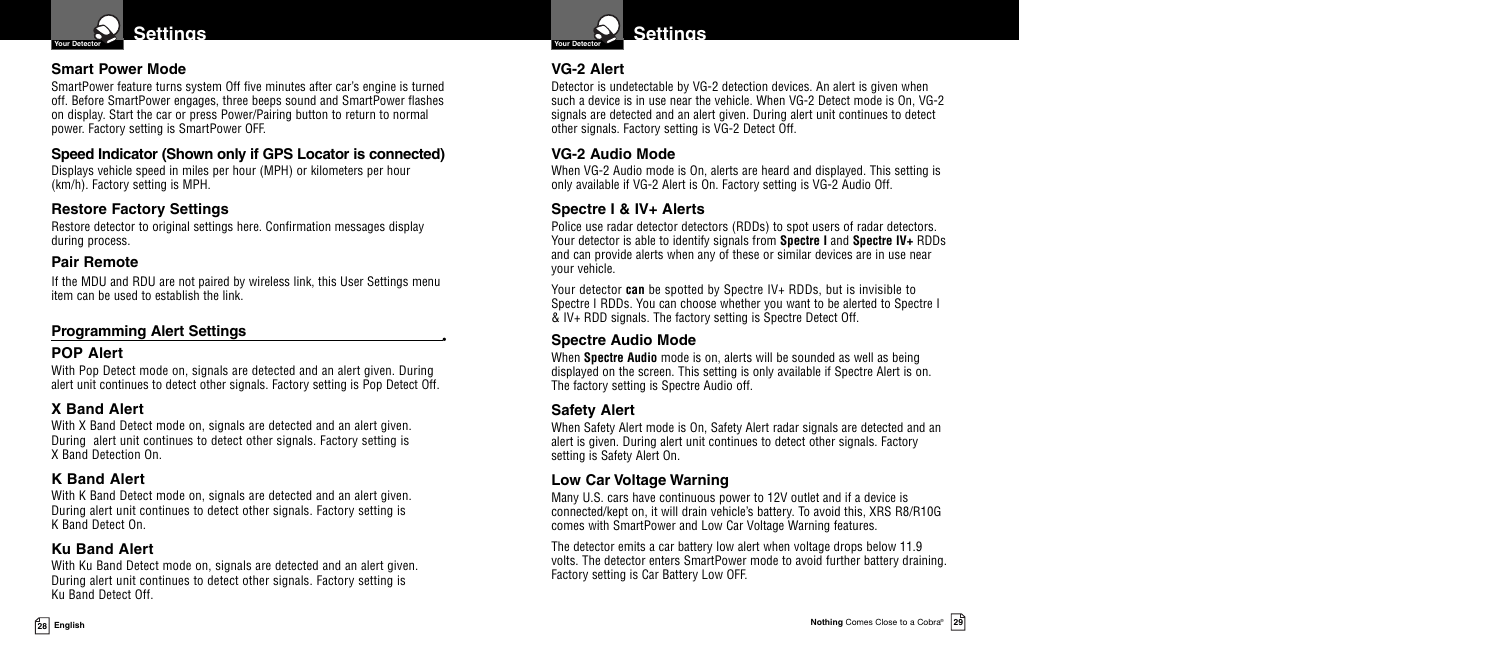

#### **Smart Power Mode**

SmartPower feature turns system Off five minutes after car's engine is turned off. Before SmartPower engages, three beeps sound and SmartPower flashes on display. Start the car or press Power/Pairing button to return to normal power. Factory setting is SmartPower OFF.

## **Speed Indicator (Shown only if GPS Locator is connected)**

Displays vehicle speed in miles per hour (MPH) or kilometers per hour (km/h). Factory setting is MPH.

## **Restore Factory Settings**

Restore detector to original settings here. Confirmation messages display during process.

## **Pair Remote**

If the MDU and RDU are not paired by wireless link, this User Settings menu item can be used to establish the link.

## **Programming Alert Settings •**

## **POP Alert**

With Pop Detect mode on, signals are detected and an alert given. During alert unit continues to detect other signals. Factory setting is Pop Detect Off.

## **X Band Alert**

With X Band Detect mode on, signals are detected and an alert given. During alert unit continues to detect other signals. Factory setting is X Band Detection On.

## **K Band Alert**

With K Band Detect mode on, signals are detected and an alert given. During alert unit continues to detect other signals. Factory setting is K Band Detect On.

## **Ku Band Alert**

With Ku Band Detect mode on, signals are detected and an alert given. During alert unit continues to detect other signals. Factory setting is Ku Band Detect Off.



## **VG-2 Alert**

Detector is undetectable by VG-2 detection devices. An alert is given when such a device is in use near the vehicle. When VG-2 Detect mode is On, VG-2 signals are detected and an alert given. During alert unit continues to detect other signals. Factory setting is VG-2 Detect Off.

## **VG-2 Audio Mode**

When VG-2 Audio mode is On, alerts are heard and displayed. This setting is only available if VG-2 Alert is On. Factory setting is VG-2 Audio Off.

## **Spectre I & IV+ Alerts**

Police use radar detector detectors (RDDs) to spot users of radar detectors. Your detector is able to identify signals from **Spectre I** and **Spectre IV+** RDDs and can provide alerts when any of these or similar devices are in use near your vehicle.

Your detector **can** be spotted by Spectre IV+ RDDs, but is invisible to Spectre I RDDs. You can choose whether you want to be alerted to Spectre I & IV+ RDD signals. The factory setting is Spectre Detect Off.

## **Spectre Audio Mode**

When **Spectre Audio** mode is on, alerts will be sounded as well as being displayed on the screen. This setting is only available if Spectre Alert is on. The factory setting is Spectre Audio off.

## **Safety Alert**

When Safety Alert mode is On, Safety Alert radar signals are detected and an alert is given. During alert unit continues to detect other signals. Factory setting is Safety Alert On.

## **Low Car Voltage Warning**

Many U.S. cars have continuous power to 12V outlet and if a device is connected/kept on, it will drain vehicle's battery. To avoid this, XRS R8/R10G comes with SmartPower and Low Car Voltage Warning features.

The detector emits a car battery low alert when voltage drops below 11.9 volts. The detector enters SmartPower mode to avoid further battery draining. Factory setting is Car Battery Low OFF.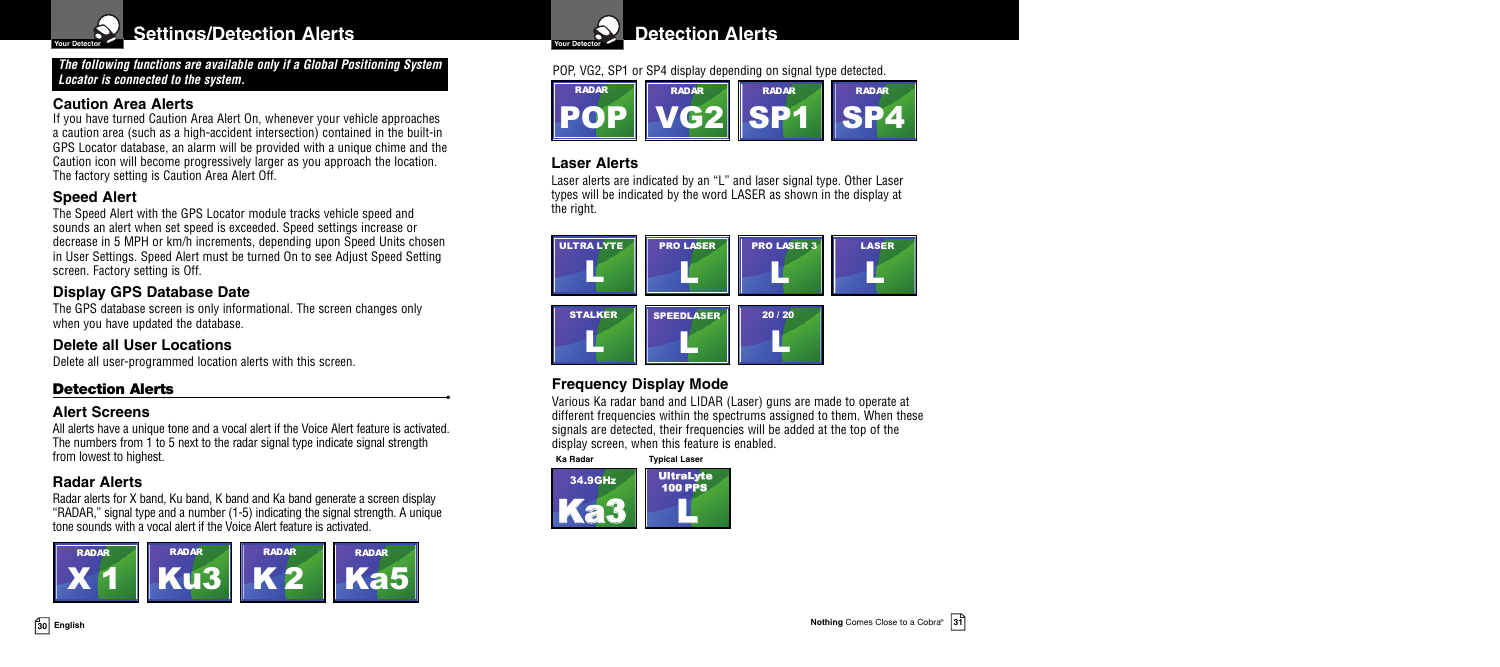

**Settings/Detection Alerts Voltage 19th Contracts Properties Properties Properties** 

#### *The following functions are available only if a Global Positioning System Locator is connected to the system.*

## **Caution Area Alerts**

If you have turned Caution Area Alert On, whenever your vehicle approaches a caution area (such as a high-accident intersection) contained in the built-in GPS Locator database, an alarm will be provided with a unique chime and the Caution icon will become progressively larger as you approach the location. The factory setting is Caution Area Alert Off.

## **Speed Alert**

The Speed Alert with the GPS Locator module tracks vehicle speed and sounds an alert when set speed is exceeded. Speed settings increase or decrease in 5 MPH or km/h increments, depending upon Speed Units chosen in User Settings. Speed Alert must be turned On to see Adjust Speed Setting screen. Factory setting is Off.

## **Display GPS Database Date**

The GPS database screen is only informational. The screen changes only when you have updated the database.

## **Delete all User Locations**

Delete all user-programmed location alerts with this screen.

## **Detection Alerts •**

## **Alert Screens**

All alerts have a unique tone and a vocal alert if the Voice Alert feature is activated. The numbers from 1 to 5 next to the radar signal type indicate signal strength from lowest to highest.

## **Radar Alerts**

Radar alerts for X band, Ku band, K band and Ka band generate a screen display "RADAR," signal type and a number (1-5) indicating the signal strength. A unique tone sounds with a vocal alert if the Voice Alert feature is activated.





## POP, VG2, SP1 or SP4 display depending on signal type detected.



## **Laser Alerts**

Laser alerts are indicated by an "L" and laser signal type. Other Laser types will be indicated by the word LASER as shown in the display at the right.



## **Frequency Display Mode**

Various Ka radar band and LIDAR (Laser) guns are made to operate at different frequencies within the spectrums assigned to them. When these signals are detected, their frequencies will be added at the top of the display screen, when this feature is enabled.

 $k$ 34.9GHz **UltraLyte** L 100 PPS **Ka Radar Typical Laser**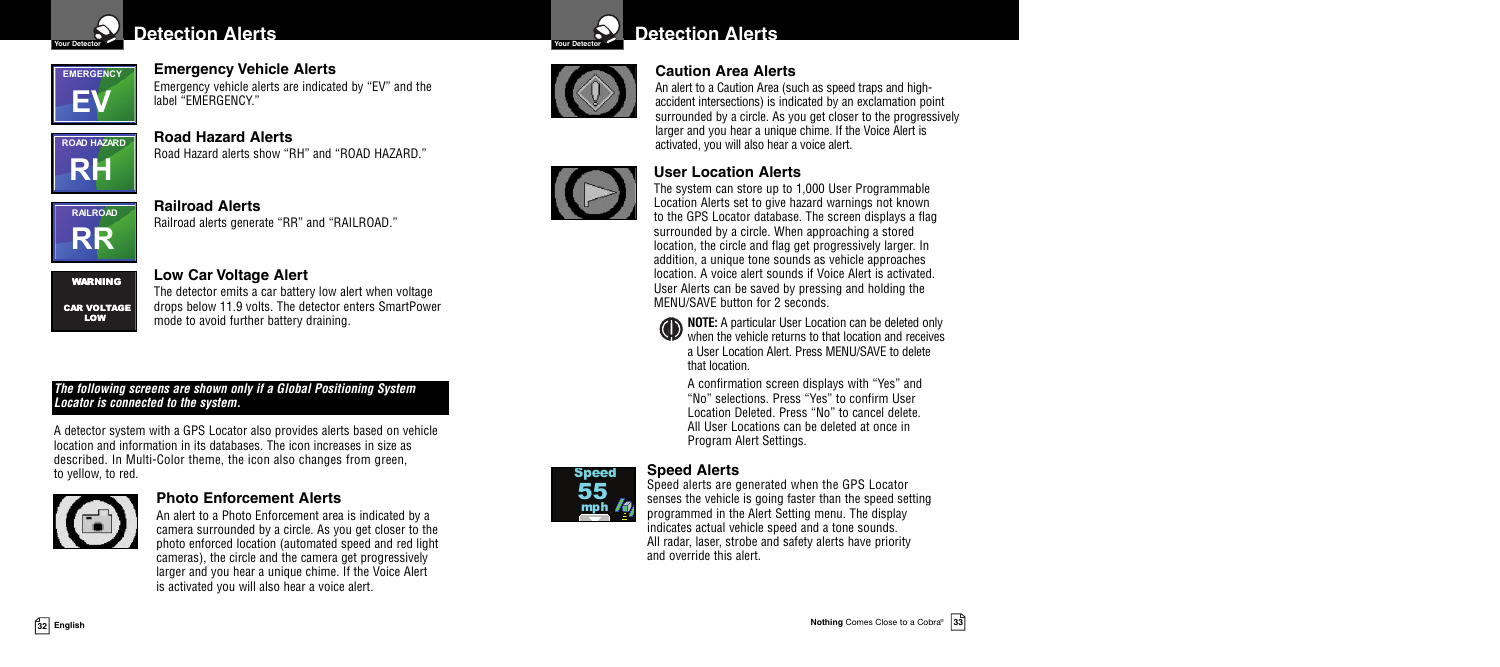

## **Detection** Alerts **Voltage** *Detection* Alerts



**Emergency Vehicle Alerts**

Emergency vehicle alerts are indicated by "EV" and the label "EMERGENCY."



**Road Hazard Alerts** Road Hazard alerts show "RH" and "ROAD HAZARD."



**Railroad Alerts**

Railroad alerts generate "RR" and "RAILROAD."



## **Low Car Voltage Alert**

The detector emits a car battery low alert when voltage drops below 11.9 volts. The detector enters SmartPower mode to avoid further battery draining.

#### *The following screens are shown only if a Global Positioning System Locator is connected to the system.*

A detector system with a GPS Locator also provides alerts based on vehicle location and information in its databases. The icon increases in size as described. In Multi-Color theme, the icon also changes from green, to yellow, to red.



#### **Photo Enforcement Alerts**

An alert to a Photo Enforcement area is indicated by a camera surrounded by a circle. As you get closer to the photo enforced location (automated speed and red light cameras), the circle and the camera get progressively larger and you hear a unique chime. If the Voice Alert is activated you will also hear a voice alert.





## **Caution Area Alerts**

An alert to a Caution Area (such as speed traps and highaccident intersections) is indicated by an exclamation point surrounded by a circle. As you get closer to the progressively larger and you hear a unique chime. If the Voice Alert is activated, you will also hear a voice alert.

## **User Location Alerts**



The system can store up to 1,000 User Programmable Location Alerts set to give hazard warnings not known to the GPS Locator database. The screen displays a flag surrounded by a circle. When approaching a stored location, the circle and flag get progressively larger. In addition, a unique tone sounds as vehicle approaches location. A voice alert sounds if Voice Alert is activated. User Alerts can be saved by pressing and holding the MENU/SAVE button for 2 seconds.

**NOTE:** A particular User Location can be deleted only  $\Psi$  when the vehicle returns to that location and receives a User Location Alert. Press MENU/SAVE to delete that location.

A confirmation screen displays with "Yes" and "No" selections. Press "Yes" to confirm User Location Deleted. Press "No" to cancel delete. All User Locations can be deleted at once in Program Alert Settings.

## **Speed Alerts**



Speed alerts are generated when the GPS Locator senses the vehicle is going faster than the speed setting programmed in the Alert Setting menu. The display indicates actual vehicle speed and a tone sounds. All radar, laser, strobe and safety alerts have priority and override this alert.

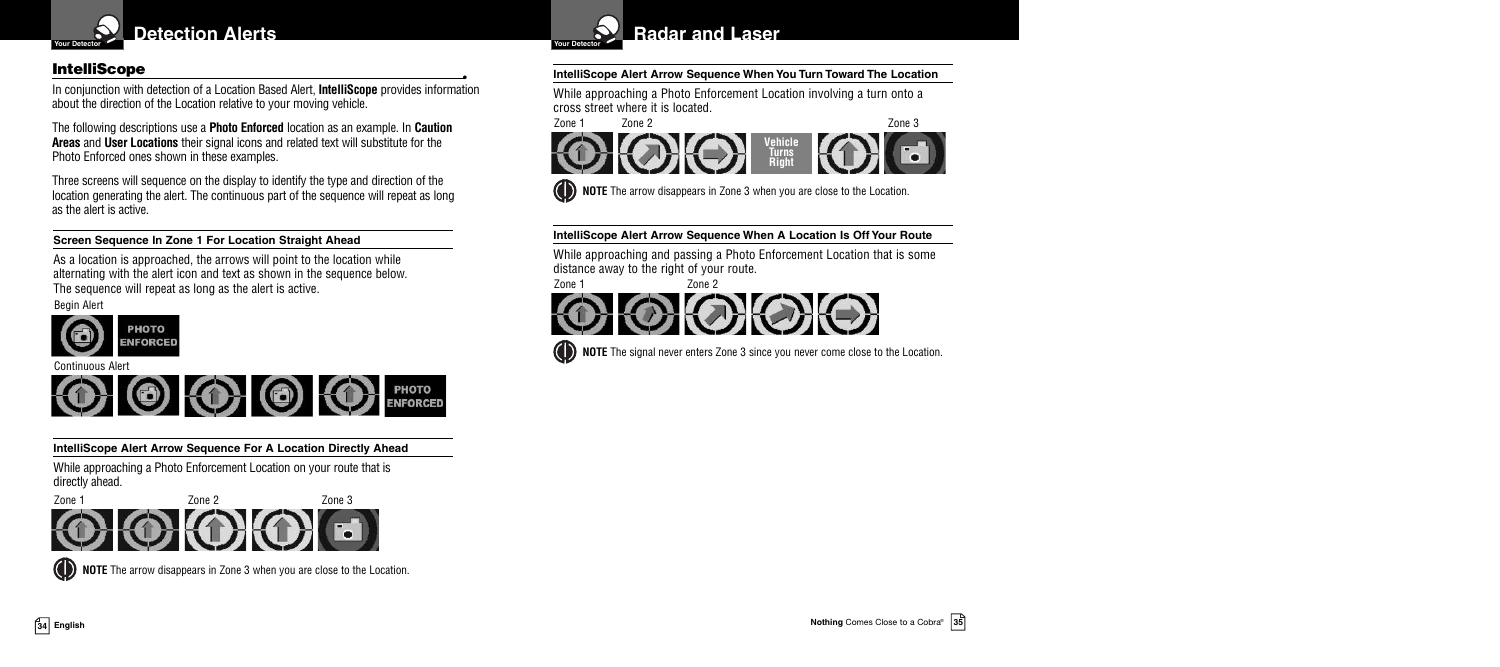

In conjunction with detection of a Location Based Alert, **IntelliScope** provides information about the direction of the Location relative to your moving vehicle.

The following descriptions use a **Photo Enforced** location as an example. In **Caution Areas** and **User Locations** their signal icons and related text will substitute for the Photo Enforced ones shown in these examples.

Three screens will sequence on the display to identify the type and direction of the location generating the alert. The continuous part of the sequence will repeat as long as the alert is active.

**Screen Sequence In Zone 1 For Location Straight Ahead**

As a location is approached, the arrows will point to the location while alternating with the alert icon and text as shown in the sequence below. The sequence will repeat as long as the alert is active.

Begin Alert



Continuous Alert



**IntelliScope Alert Arrow Sequence For A Location Directly Ahead**

While approaching a Photo Enforcement Location on your route that is directly ahead.



**(C)** NOTE The arrow disappears in Zone 3 when you are close to the Location.



## **IntelliScope •• IntelliScope** *IntelliScope Alert Arrow Sequence When You Turn Toward The Location*

While approaching a Photo Enforcement Location involving a turn onto a cross street where it is located.

Zone 1 Zone 2 Zone 3



**(b) NOTE** The arrow disappears in Zone 3 when you are close to the Location.

#### **IntelliScope Alert Arrow Sequence When A Location Is Off Your Route**

While approaching and passing a Photo Enforcement Location that is some distance away to the right of your route.



**(C)** NOTE The signal never enters Zone 3 since you never come close to the Location.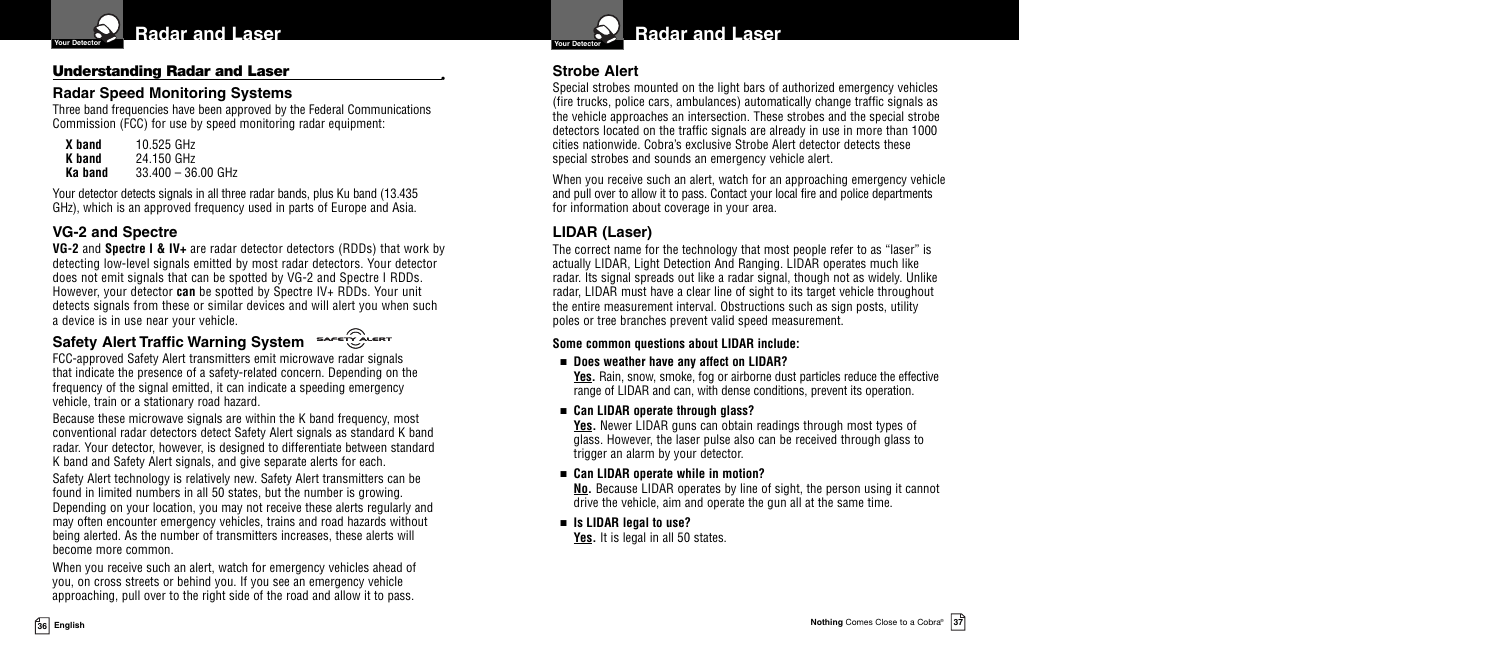

#### **Understanding Radar and Laser •**

#### **Radar Speed Monitoring Systems**

Three band frequencies have been approved by the Federal Communications Commission (FCC) for use by speed monitoring radar equipment:

| X band  | 10.525 GHz           |
|---------|----------------------|
| K band  | 24.150 GHz           |
| Ka band | $33.400 - 36.00$ GHz |

Your detector detects signals in all three radar bands, plus Ku band (13.435) GHz), which is an approved frequency used in parts of Europe and Asia.

## **VG-2 and Spectre**

**VG-2** and **Spectre I & IV+** are radar detector detectors (RDDs) that work by detecting low-level signals emitted by most radar detectors. Your detector does not emit signals that can be spotted by VG-2 and Spectre I RDDs. However, your detector **can** be spotted by Spectre IV+ RDDs. Your unit detects signals from these or similar devices and will alert you when such a device is in use near your vehicle.

#### SAFETY ALERT **Safety Alert Traffic Warning System**

FCC-approved Safety Alert transmitters emit microwave radar signals that indicate the presence of a safety-related concern. Depending on the frequency of the signal emitted, it can indicate a speeding emergency vehicle, train or a stationary road hazard.

Because these microwave signals are within the K band frequency, most conventional radar detectors detect Safety Alert signals as standard K band radar. Your detector, however, is designed to differentiate between standard K band and Safety Alert signals, and give separate alerts for each.

Safety Alert technology is relatively new. Safety Alert transmitters can be found in limited numbers in all 50 states, but the number is growing. Depending on your location, you may not receive these alerts regularly and may often encounter emergency vehicles, trains and road hazards without being alerted. As the number of transmitters increases, these alerts will become more common.

When you receive such an alert, watch for emergency vehicles ahead of you, on cross streets or behind you. If you see an emergency vehicle approaching, pull over to the right side of the road and allow it to pass.



#### **Strobe Alert**

Special strobes mounted on the light bars of authorized emergency vehicles (fire trucks, police cars, ambulances) automatically change traffic signals as the vehicle approaches an intersection. These strobes and the special strobe detectors located on the traffic signals are already in use in more than 1000 cities nationwide. Cobra's exclusive Strobe Alert detector detects these special strobes and sounds an emergency vehicle alert.

When you receive such an alert, watch for an approaching emergency vehicle and pull over to allow it to pass. Contact your local fire and police departments for information about coverage in your area.

## **LIDAR (Laser)**

The correct name for the technology that most people refer to as "laser" is actually LIDAR, Light Detection And Ranging. LIDAR operates much like radar. Its signal spreads out like a radar signal, though not as widely. Unlike radar, LIDAR must have a clear line of sight to its target vehicle throughout the entire measurement interval. Obstructions such as sign posts, utility poles or tree branches prevent valid speed measurement.

#### **Some common questions about LIDAR include:**

#### ■ **Does weather have any affect on LIDAR?**

**Yes.** Rain, snow, smoke, fog or airborne dust particles reduce the effective range of LIDAR and can, with dense conditions, prevent its operation.

#### ■ **Can LIDAR operate through glass?**

**Yes.** Newer LIDAR guns can obtain readings through most types of glass. However, the laser pulse also can be received through glass to trigger an alarm by your detector.

#### ■ **Can LIDAR operate while in motion?**

**No.** Because LIDAR operates by line of sight, the person using it cannot drive the vehicle, aim and operate the gun all at the same time.

#### ■ **Is LIDAR legal to use?**

Yes. It is legal in all 50 states.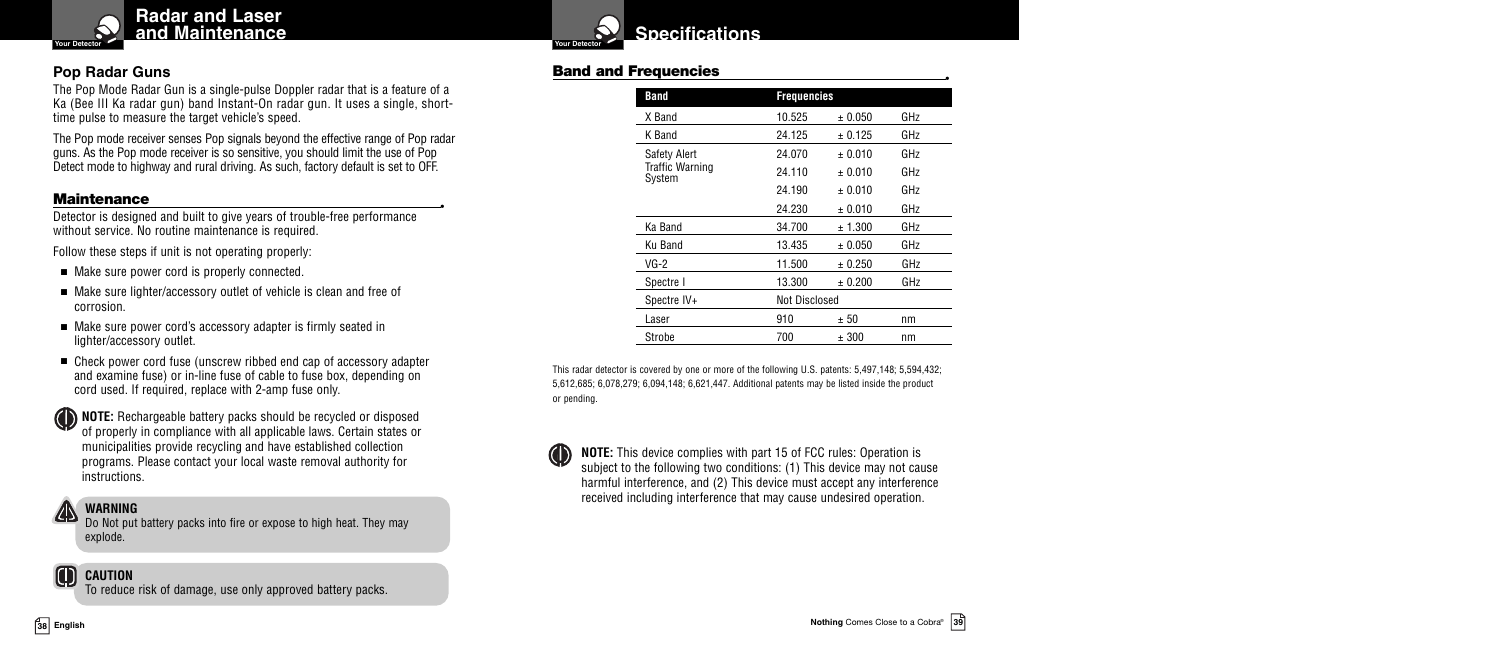

## **Pop Radar Guns**

The Pop Mode Radar Gun is a single-pulse Doppler radar that is a feature of a Ka (Bee III Ka radar gun) band Instant-On radar gun. It uses a single, shorttime pulse to measure the target vehicle's speed.

The Pop mode receiver senses Pop signals beyond the effective range of Pop radar guns. As the Pop mode receiver is so sensitive, you should limit the use of Pop Detect mode to highway and rural driving. As such, factory default is set to OFF.

**Maintenance**<br>Detector is designed and built to give years of trouble-free performance without service. No routine maintenance is required.

Follow these steps if unit is not operating properly:

- Make sure power cord is properly connected.
- Make sure lighter/accessory outlet of vehicle is clean and free of corrosion.
- Make sure power cord's accessory adapter is firmly seated in lighter/accessory outlet.
- Check power cord fuse (unscrew ribbed end cap of accessory adapter and examine fuse) or in-line fuse of cable to fuse box, depending on cord used. If required, replace with 2-amp fuse only.
- **NOTE:** Rechargeable battery packs should be recycled or disposed of properly in compliance with all applicable laws. Certain states or municipalities provide recycling and have established collection programs. Please contact your local waste removal authority for instructions.

## **WARNING**

Do Not put battery packs into fire or expose to high heat. They may explode.

## **CAUTION**

To reduce risk of damage, use only approved battery packs.

## **Band and Frequencies •**

| 10.525 | ± 0.050              | GHz                |  |
|--------|----------------------|--------------------|--|
| 24.125 | ± 0.125              | GHz                |  |
| 24.070 | ± 0.010              | GHz                |  |
| 24.110 | $+0.010$             | GH <sub>7</sub>    |  |
| 24.190 | $+0.010$             | GHz                |  |
| 24.230 | ± 0.010              | GHz                |  |
| 34.700 | ± 1.300              | GHz                |  |
| 13.435 | ± 0.050              | GHz                |  |
| 11.500 | ± 0.250              | GHz                |  |
| 13.300 | ± 0.200              | GHz                |  |
|        | <b>Not Disclosed</b> |                    |  |
| 910    | ± 50                 | nm                 |  |
| 700    | ± 300                | nm                 |  |
|        |                      | <b>Frequencies</b> |  |

This radar detector is covered by one or more of the following U.S. patents: 5,497,148; 5,594,432; 5,612,685; 6,078,279; 6,094,148; 6,621,447. Additional patents may be listed inside the product or pending.

**NOTE:** This device complies with part 15 of FCC rules: Operation is subject to the following two conditions: (1) This device may not cause harmful interference, and (2) This device must accept any interference received including interference that may cause undesired operation.

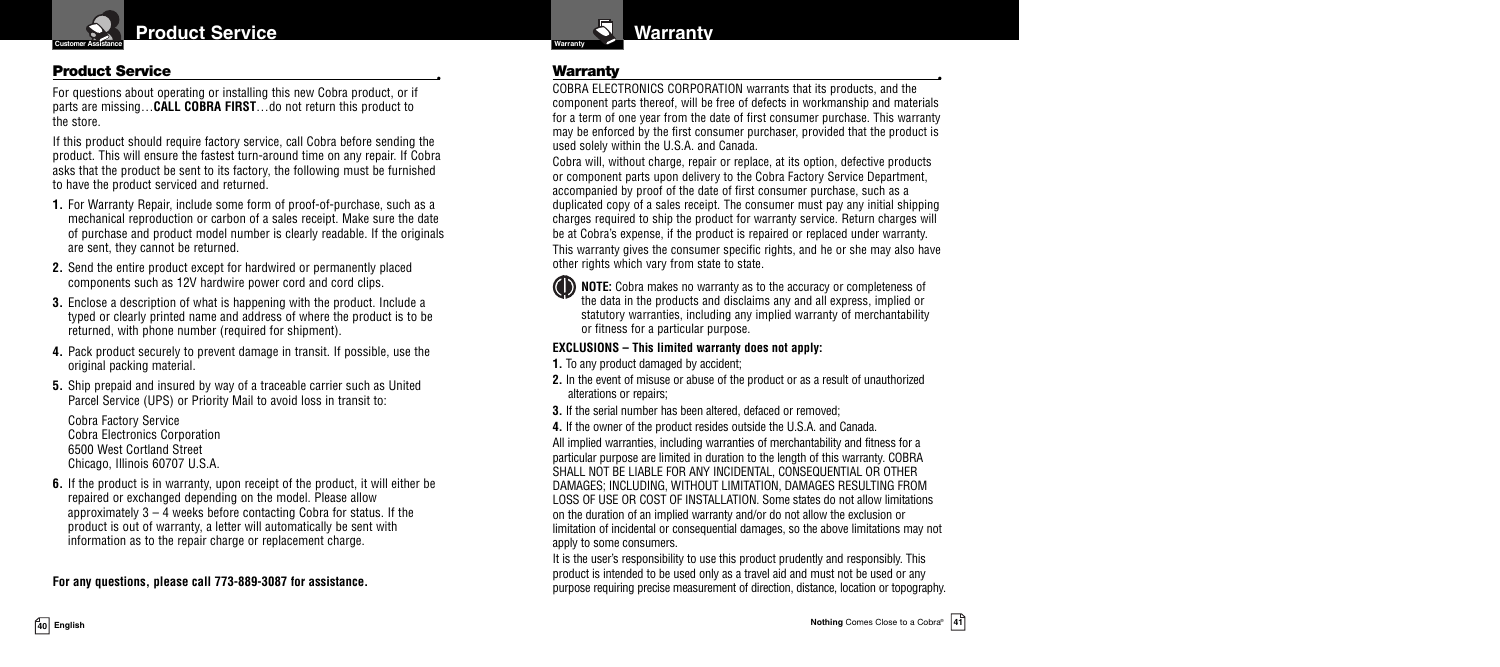

#### **Product Service •**

For questions about operating or installing this new Cobra product, or if parts are missing…**CALL COBRA FIRST**…do not return this product to the store.

If this product should require factory service, call Cobra before sending the product. This will ensure the fastest turn-around time on any repair. If Cobra asks that the product be sent to its factory, the following must be furnished to have the product serviced and returned.

- **1.** For Warranty Repair, include some form of proof-of-purchase, such as a mechanical reproduction or carbon of a sales receipt. Make sure the date of purchase and product model number is clearly readable. If the originals are sent, they cannot be returned.
- **2.** Send the entire product except for hardwired or permanently placed components such as 12V hardwire power cord and cord clips.
- **3.** Enclose a description of what is happening with the product. Include a typed or clearly printed name and address of where the product is to be returned, with phone number (required for shipment).
- **4.** Pack product securely to prevent damage in transit. If possible, use the original packing material.
- **5.** Ship prepaid and insured by way of a traceable carrier such as United Parcel Service (UPS) or Priority Mail to avoid loss in transit to:

Cobra Factory Service Cobra Electronics Corporation 6500 West Cortland Street Chicago, Illinois 60707 U.S.A.

**6.** If the product is in warranty, upon receipt of the product, it will either be repaired or exchanged depending on the model. Please allow approximately  $3 - 4$  weeks before contacting Cobra for status. If the product is out of warranty, a letter will automatically be sent with information as to the repair charge or replacement charge.

**For any questions, please call 773-889-3087 for assistance.**



**Warranty •** COBRA ELECTRONICS CORPORATION warrants that its products, and the component parts thereof, will be free of defects in workmanship and materials for a term of one year from the date of first consumer purchase. This warranty may be enforced by the first consumer purchaser, provided that the product is used solely within the U.S.A. and Canada.

Cobra will, without charge, repair or replace, at its option, defective products or component parts upon delivery to the Cobra Factory Service Department, accompanied by proof of the date of first consumer purchase, such as a duplicated copy of a sales receipt. The consumer must pay any initial shipping charges required to ship the product for warranty service. Return charges will be at Cobra's expense, if the product is repaired or replaced under warranty. This warranty gives the consumer specific rights, and he or she may also have other rights which vary from state to state.

**NOTE:** Cobra makes no warranty as to the accuracy or completeness of the data in the products and disclaims any and all express, implied or statutory warranties, including any implied warranty of merchantability or fitness for a particular purpose.

#### **EXCLUSIONS – This limited warranty does not apply:**

**1.** To any product damaged by accident;

- **2.** In the event of misuse or abuse of the product or as a result of unauthorized alterations or repairs;
- **3.** If the serial number has been altered, defaced or removed;
- **4.** If the owner of the product resides outside the U.S.A. and Canada.

All implied warranties, including warranties of merchantability and fitness for a particular purpose are limited in duration to the length of this warranty. COBRA SHALL NOT BE LIABLE FOR ANY INCIDENTAL, CONSEQUENTIAL OR OTHER DAMAGES; INCLUDING, WITHOUT LIMITATION, DAMAGES RESULTING FROM LOSS OF USE OR COST OF INSTALLATION. Some states do not allow limitations on the duration of an implied warranty and/or do not allow the exclusion or limitation of incidental or consequential damages, so the above limitations may not apply to some consumers.

It is the user's responsibility to use this product prudently and responsibly. This product is intended to be used only as a travel aid and must not be used or any purpose requiring precise measurement of direction, distance, location or topography.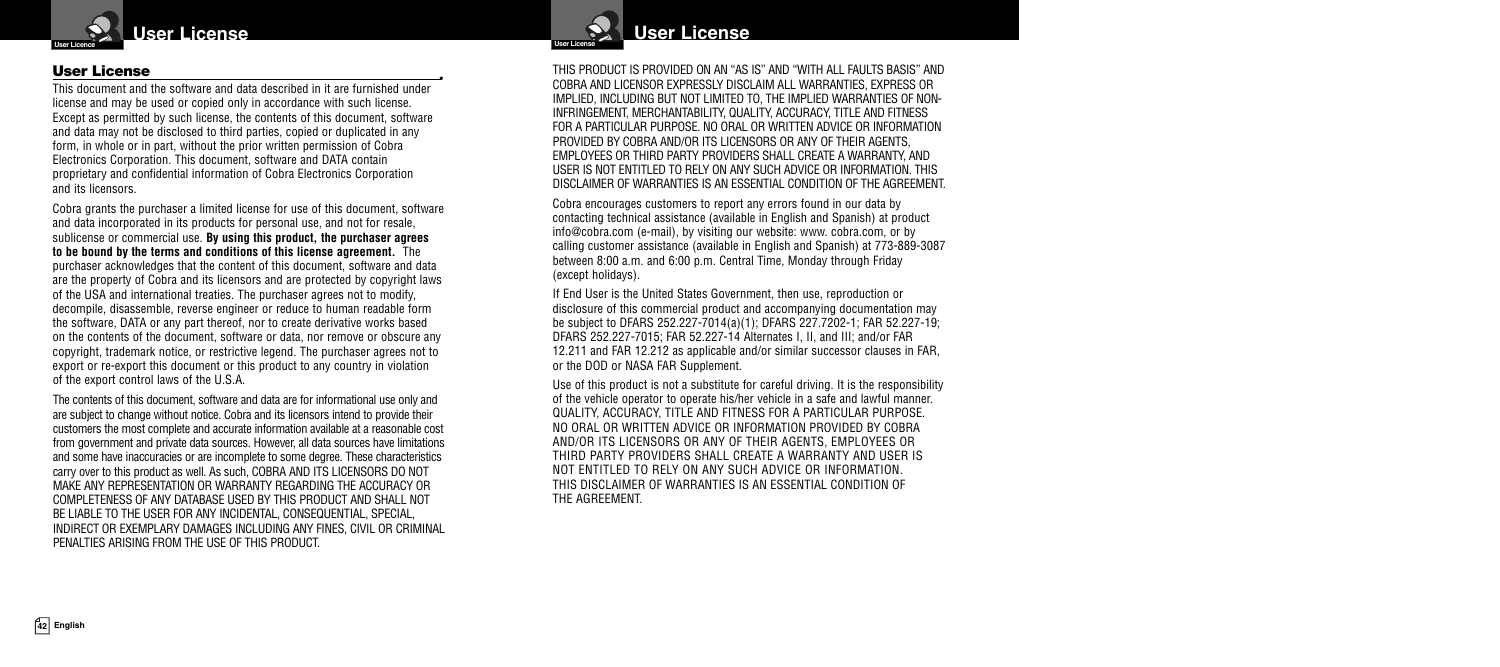

**User License •** This document and the software and data described in it are furnished under license and may be used or copied only in accordance with such license. Except as permitted by such license, the contents of this document, software and data may not be disclosed to third parties, copied or duplicated in any form, in whole or in part, without the prior written permission of Cobra Electronics Corporation. This document, software and DATA contain proprietary and confidential information of Cobra Electronics Corporation and its licensors.

Cobra grants the purchaser a limited license for use of this document, software and data incorporated in its products for personal use, and not for resale, sublicense or commercial use. **By using this product, the purchaser agrees to be bound by the terms and conditions of this license agreement.** The purchaser acknowledges that the content of this document, software and data are the property of Cobra and its licensors and are protected by copyright laws of the USA and international treaties. The purchaser agrees not to modify, decompile, disassemble, reverse engineer or reduce to human readable form the software, DATA or any part thereof, nor to create derivative works based on the contents of the document, software or data, nor remove or obscure any copyright, trademark notice, or restrictive legend. The purchaser agrees not to export or re-export this document or this product to any country in violation of the export control laws of the U.S.A.

The contents of this document, software and data are for informational use only and are subject to change without notice. Cobra and its licensors intend to provide their customers the most complete and accurate information available at a reasonable cost from government and private data sources. However, all data sources have limitations and some have inaccuracies or are incomplete to some degree. These characteristics carry over to this product as well. As such, COBRA AND ITS LICENSORS DO NOT MAKE ANY REPRESENTATION OR WARRANTY REGARDING THE ACCURACY OR COMPLETENESS OF ANY DATABASE USED BY THIS PRODUCT AND SHALL NOT BE LIABLE TO THE USER FOR ANY INCIDENTAL, CONSEQUENTIAL, SPECIAL, INDIRECT OR EXEMPLARY DAMAGES INCLUDING ANY FINES, CIVIL OR CRIMINAL PENALTIES ARISING FROM THE USE OF THIS PRODUCT.



THIS PRODUCT IS PROVIDED ON AN "AS IS" AND "WITH ALL FAULTS BASIS" AND COBRA AND LICENSOR EXPRESSLY DISCLAIM ALL WARRANTIES, EXPRESS OR IMPLIED, INCLUDING BUT NOT LIMITED TO, THE IMPLIED WARRANTIES OF NON-INFRINGEMENT, MERCHANTABILITY, QUALITY, ACCURACY, TITLE AND FITNESS FOR A PARTICULAR PURPOSE. NO ORAL OR WRITTEN ADVICE OR INFORMATION PROVIDED BY COBRA AND/OR ITS LICENSORS OR ANY OF THEIR AGENTS, EMPLOYEES OR THIRD PARTY PROVIDERS SHALL CREATE A WARRANTY, AND USER IS NOT ENTITLED TO RELY ON ANY SUCH ADVICE OR INFORMATION. THIS DISCLAIMER OF WARRANTIES IS AN ESSENTIAL CONDITION OF THE AGREEMENT.

Cobra encourages customers to report any errors found in our data by contacting technical assistance (available in English and Spanish) at product info@cobra.com (e-mail), by visiting our website: www. cobra.com, or by calling customer assistance (available in English and Spanish) at 773-889-3087 between 8:00 a.m. and 6:00 p.m. Central Time, Monday through Friday (except holidays).

If End User is the United States Government, then use, reproduction or disclosure of this commercial product and accompanying documentation may be subject to DFARS 252.227-7014(a)(1); DFARS 227.7202-1; FAR 52.227-19; DFARS 252.227-7015; FAR 52.227-14 Alternates I, II, and III; and/or FAR 12.211 and FAR 12.212 as applicable and/or similar successor clauses in FAR, or the DOD or NASA FAR Supplement.

Use of this product is not a substitute for careful driving. It is the responsibility of the vehicle operator to operate his/her vehicle in a safe and lawful manner. QUALITY, ACCURACY, TITLE AND FITNESS FOR A PARTICULAR PURPOSE. NO ORAL OR WRITTEN ADVICE OR INFORMATION PROVIDED BY COBRA AND/OR ITS LICENSORS OR ANY OF THEIR AGENTS, EMPLOYEES OR THIRD PARTY PROVIDERS SHALL CREATE A WARRANTY AND USER IS NOT ENTITLED TO RELY ON ANY SUCH ADVICE OR INFORMATION. THIS DISCLAIMER OF WARRANTIES IS AN ESSENTIAL CONDITION OF THE AGREEMENT.